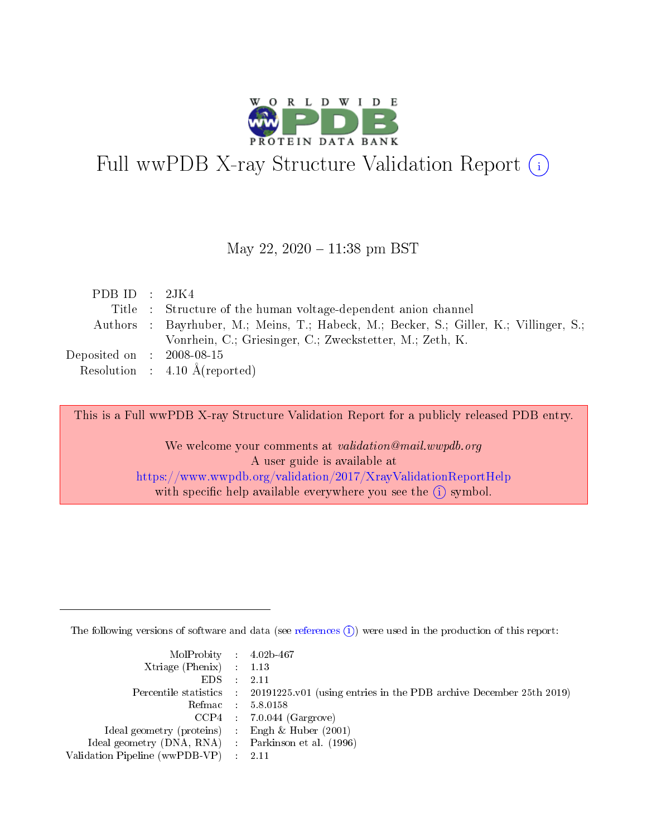

# Full wwPDB X-ray Structure Validation Report (i)

#### May 22, 2020 - 11:38 pm BST

| PDB ID : $2JK4$             |                                                                                        |
|-----------------------------|----------------------------------------------------------------------------------------|
|                             | Title : Structure of the human voltage-dependent anion channel                         |
|                             | Authors : Bayrhuber, M.; Meins, T.; Habeck, M.; Becker, S.; Giller, K.; Villinger, S.; |
|                             | Vonrhein, C.; Griesinger, C.; Zweckstetter, M.; Zeth, K.                               |
| Deposited on : $2008-08-15$ |                                                                                        |
|                             | Resolution : $4.10 \text{ Å}$ (reported)                                               |

This is a Full wwPDB X-ray Structure Validation Report for a publicly released PDB entry.

We welcome your comments at validation@mail.wwpdb.org A user guide is available at <https://www.wwpdb.org/validation/2017/XrayValidationReportHelp> with specific help available everywhere you see the  $(i)$  symbol.

The following versions of software and data (see [references](https://www.wwpdb.org/validation/2017/XrayValidationReportHelp#references)  $(i)$ ) were used in the production of this report:

| $MolProbability$ 4.02b-467                          |                                                                                            |
|-----------------------------------------------------|--------------------------------------------------------------------------------------------|
| Xtriage (Phenix) $: 1.13$                           |                                                                                            |
| $EDS$ :                                             | -2.11                                                                                      |
|                                                     | Percentile statistics : 20191225.v01 (using entries in the PDB archive December 25th 2019) |
|                                                     | Refmac : 5.8.0158                                                                          |
|                                                     | $CCP4$ : 7.0.044 (Gargrove)                                                                |
| Ideal geometry (proteins) : Engh $\&$ Huber (2001)  |                                                                                            |
| Ideal geometry (DNA, RNA) : Parkinson et al. (1996) |                                                                                            |
| Validation Pipeline (wwPDB-VP)                      | -2.11                                                                                      |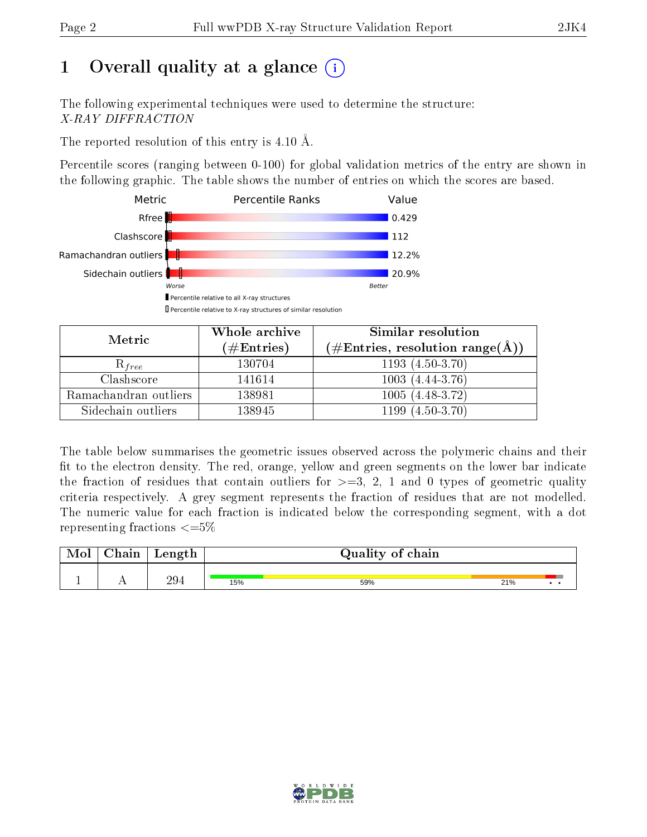# 1 [O](https://www.wwpdb.org/validation/2017/XrayValidationReportHelp#overall_quality)verall quality at a glance  $(i)$

The following experimental techniques were used to determine the structure: X-RAY DIFFRACTION

The reported resolution of this entry is  $4.10 \text{ Å}.$ 

Percentile scores (ranging between 0-100) for global validation metrics of the entry are shown in the following graphic. The table shows the number of entries on which the scores are based.



| Metric                | Whole archive<br>$(\#\text{Entries})$ | Similar resolution<br>$(\#\text{Entries}, \text{resolution range}(\text{\AA}))$ |
|-----------------------|---------------------------------------|---------------------------------------------------------------------------------|
| $\mathcal{R}_{free}$  | 130704                                | $1193(4.50-3.70)$                                                               |
| Clashscore            | 141614                                | $1003(4.44-3.76)$                                                               |
| Ramachandran outliers | 138981                                | $1005(4.48-3.72)$                                                               |
| Sidechain outliers    | 138945                                | $(4.50 - 3.70)$<br>1199                                                         |

The table below summarises the geometric issues observed across the polymeric chains and their fit to the electron density. The red, orange, yellow and green segments on the lower bar indicate the fraction of residues that contain outliers for  $\geq=3$ , 2, 1 and 0 types of geometric quality criteria respectively. A grey segment represents the fraction of residues that are not modelled. The numeric value for each fraction is indicated below the corresponding segment, with a dot representing fractions  $\leq=5\%$ 

| $\gamma_{\rm hom}$ | Length          | Quality of chain |     |     |  |
|--------------------|-----------------|------------------|-----|-----|--|
|                    | 29 <sub>1</sub> | 15%              | 59% | 21% |  |

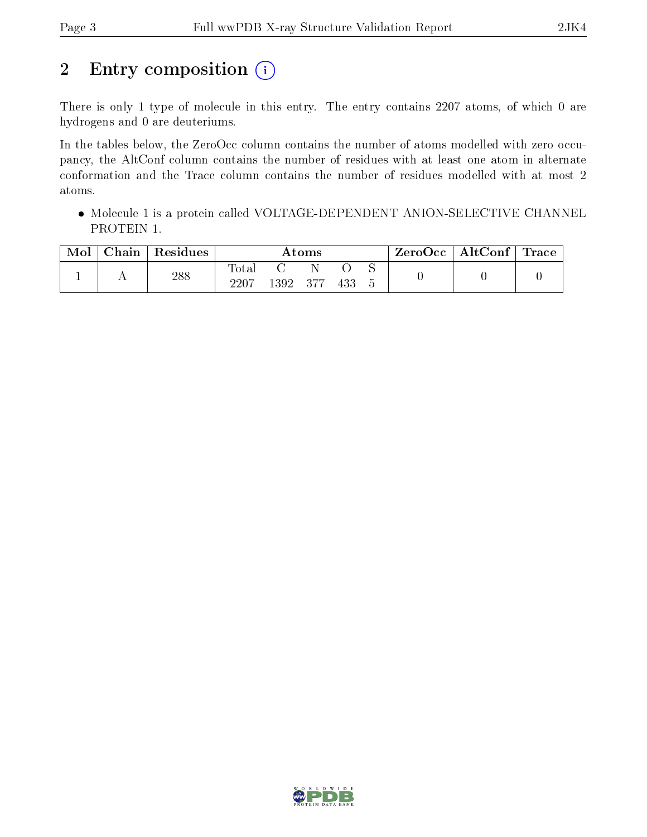## 2 Entry composition  $(i)$

There is only 1 type of molecule in this entry. The entry contains 2207 atoms, of which 0 are hydrogens and 0 are deuteriums.

In the tables below, the ZeroOcc column contains the number of atoms modelled with zero occupancy, the AltConf column contains the number of residues with at least one atom in alternate conformation and the Trace column contains the number of residues modelled with at most 2 atoms.

• Molecule 1 is a protein called VOLTAGE-DEPENDENT ANION-SELECTIVE CHANNEL PROTEIN 1.

| Mol | Chain | Residues | Atoms                    |          |        | ZeroOcc | $\mid$ AltConf $\mid$ Trace |  |  |  |
|-----|-------|----------|--------------------------|----------|--------|---------|-----------------------------|--|--|--|
|     |       | 288      | $\mathrm{Tota}.$<br>2207 | $.392\,$ | $-377$ | 433     |                             |  |  |  |

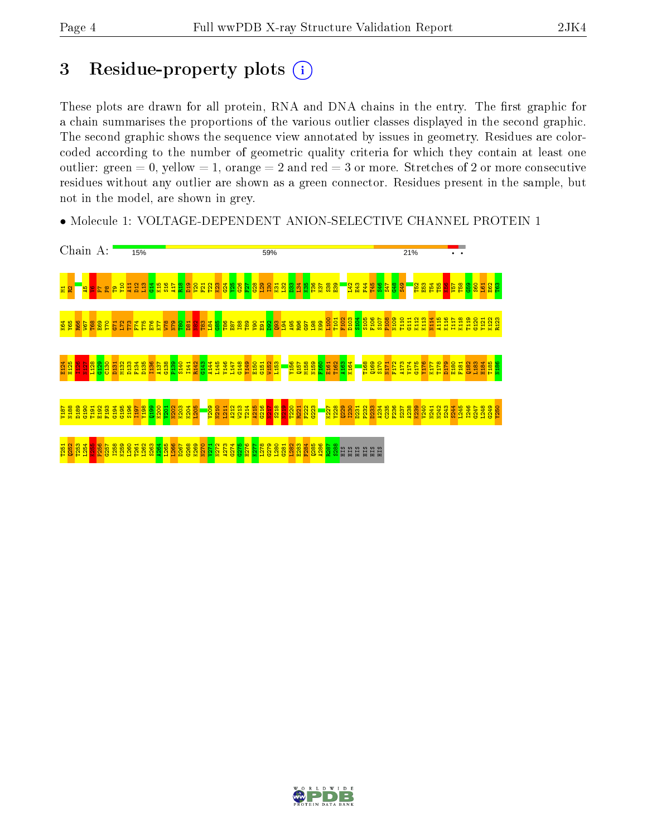## 3 Residue-property plots (i)

These plots are drawn for all protein, RNA and DNA chains in the entry. The first graphic for a chain summarises the proportions of the various outlier classes displayed in the second graphic. The second graphic shows the sequence view annotated by issues in geometry. Residues are colorcoded according to the number of geometric quality criteria for which they contain at least one outlier: green  $= 0$ , yellow  $= 1$ , orange  $= 2$  and red  $= 3$  or more. Stretches of 2 or more consecutive residues without any outlier are shown as a green connector. Residues present in the sample, but not in the model, are shown in grey.

• Molecule 1: VOLTAGE-DEPENDENT ANION-SELECTIVE CHANNEL PROTEIN 1



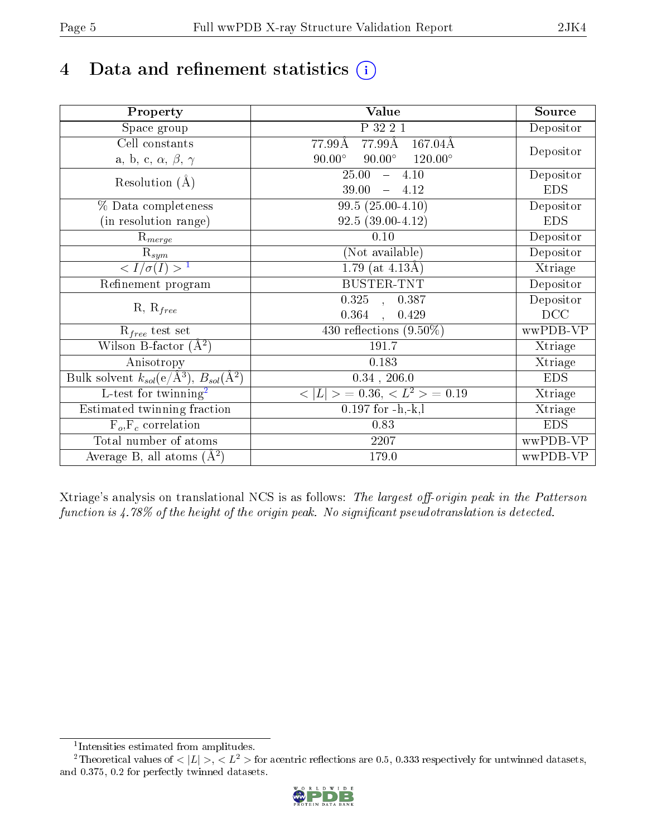# 4 Data and refinement statistics  $(i)$

| Property                                                             | Value                                              | Source     |
|----------------------------------------------------------------------|----------------------------------------------------|------------|
| $\overline{S}$ pace group                                            | P 32 2 1                                           | Depositor  |
| Cell constants                                                       | 77.99 <sub>A</sub><br>$167.04\text{\AA}$<br>77.99Å |            |
| a, b, c, $\alpha$ , $\beta$ , $\gamma$                               | $90.00^\circ$<br>$90.00^\circ$<br>$120.00^{\circ}$ | Depositor  |
| Resolution $(A)$                                                     | 25.00<br>$-4.10$                                   | Depositor  |
|                                                                      | 39.00<br>$-4.12$                                   | <b>EDS</b> |
| % Data completeness                                                  | $99.5(25.00-4.10)$                                 | Depositor  |
| (in resolution range)                                                | $92.5(39.00-4.12)$                                 | <b>EDS</b> |
| $R_{merge}$                                                          | 0.10                                               | Depositor  |
| $\mathrm{R}_{sym}$                                                   | (Not available)                                    | Depositor  |
| $\langle I/\sigma(I) \rangle^{-1}$                                   | 1.79 (at $4.13\text{\AA}$ )                        | Xtriage    |
| Refinement program                                                   | <b>BUSTER-TNT</b>                                  | Depositor  |
|                                                                      | $\overline{0.325}$ ,<br>0.387                      | Depositor  |
| $R, R_{free}$                                                        | 0.364<br>0.429<br>$\mathcal{L}$                    | DCC        |
| $R_{free}$ test set                                                  | 430 reflections $(9.50\%)$                         | wwPDB-VP   |
| Wilson B-factor $(A^2)$                                              | 191.7                                              | Xtriage    |
| Anisotropy                                                           | 0.183                                              | Xtriage    |
| Bulk solvent $k_{sol}(e/\mathring{A}^3)$ , $B_{sol}(\mathring{A}^2)$ | $0.34$ , $206.0$                                   | <b>EDS</b> |
| L-test for twinning <sup>2</sup>                                     | $< L >$ = 0.36, $< L2$ > = 0.19                    | Xtriage    |
| Estimated twinning fraction                                          | $0.197$ for $-h,-k,l$                              | Xtriage    |
| $F_o, F_c$ correlation                                               | 0.83                                               | <b>EDS</b> |
| Total number of atoms                                                | 2207                                               | wwPDB-VP   |
| Average B, all atoms $(A^2)$                                         | 179.0                                              | wwPDB-VP   |

Xtriage's analysis on translational NCS is as follows: The largest off-origin peak in the Patterson function is  $4.78\%$  of the height of the origin peak. No significant pseudotranslation is detected.

<sup>&</sup>lt;sup>2</sup>Theoretical values of  $\langle |L| \rangle$ ,  $\langle L^2 \rangle$  for acentric reflections are 0.5, 0.333 respectively for untwinned datasets, and 0.375, 0.2 for perfectly twinned datasets.



<span id="page-4-1"></span><span id="page-4-0"></span><sup>1</sup> Intensities estimated from amplitudes.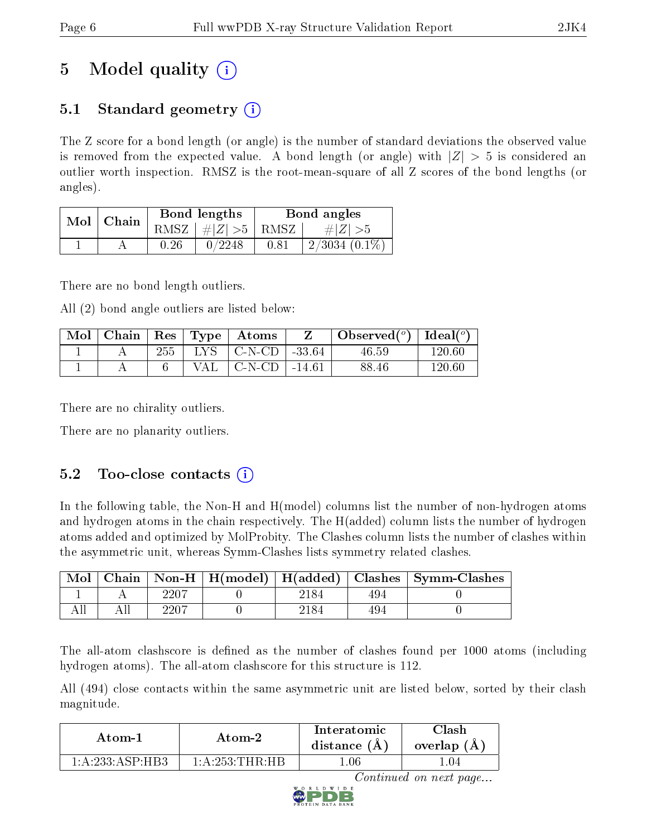# 5 Model quality  $(i)$

### 5.1 Standard geometry  $\overline{()}$

The Z score for a bond length (or angle) is the number of standard deviations the observed value is removed from the expected value. A bond length (or angle) with  $|Z| > 5$  is considered an outlier worth inspection. RMSZ is the root-mean-square of all Z scores of the bond lengths (or angles).

| Mol | Chain |      | Bond lengths    | Bond angles |                  |  |
|-----|-------|------|-----------------|-------------|------------------|--|
|     |       |      | RMSZ $ #Z  > 5$ | RMSZ        | $\# Z  > 5$      |  |
|     |       | 0.26 | 0/2248          | 0.81        | $2/3034$ (0.1\%) |  |

There are no bond length outliers.

All (2) bond angle outliers are listed below:

| Mol | ⊢Chain |     | $\parallel$ Res $\parallel$ Type $\parallel$ | Atoms     |          | Observed( $^{\circ}$ )   Ideal( $^{\circ}$ ) |        |
|-----|--------|-----|----------------------------------------------|-----------|----------|----------------------------------------------|--------|
|     |        | 255 | LYS.                                         | ∣C-N-CD ∣ | -33.64   | 46.59                                        | 120.60 |
|     |        |     | VAL                                          | C-N-CD    | $-14.61$ | 88.46                                        | 120 GC |

There are no chirality outliers.

There are no planarity outliers.

### $5.2$  Too-close contacts  $(i)$

In the following table, the Non-H and H(model) columns list the number of non-hydrogen atoms and hydrogen atoms in the chain respectively. The H(added) column lists the number of hydrogen atoms added and optimized by MolProbity. The Clashes column lists the number of clashes within the asymmetric unit, whereas Symm-Clashes lists symmetry related clashes.

| Mol |      |  |     | Chain   Non-H   H(model)   H(added)   Clashes   Symm-Clashes |
|-----|------|--|-----|--------------------------------------------------------------|
|     | 2207 |  | 494 |                                                              |
|     | 2207 |  | 494 |                                                              |

The all-atom clashscore is defined as the number of clashes found per 1000 atoms (including hydrogen atoms). The all-atom clashscore for this structure is 112.

All (494) close contacts within the same asymmetric unit are listed below, sorted by their clash magnitude.

| Atom-1                     | Atom-2                                   | Interatomic<br>distance $(A)$ | 7lash<br>overlap $(A)$ |
|----------------------------|------------------------------------------|-------------------------------|------------------------|
| $1: A.233: ASP \cdot H B3$ | $1 \cdot A \cdot 253 \cdot THR \cdot HR$ | .06                           |                        |

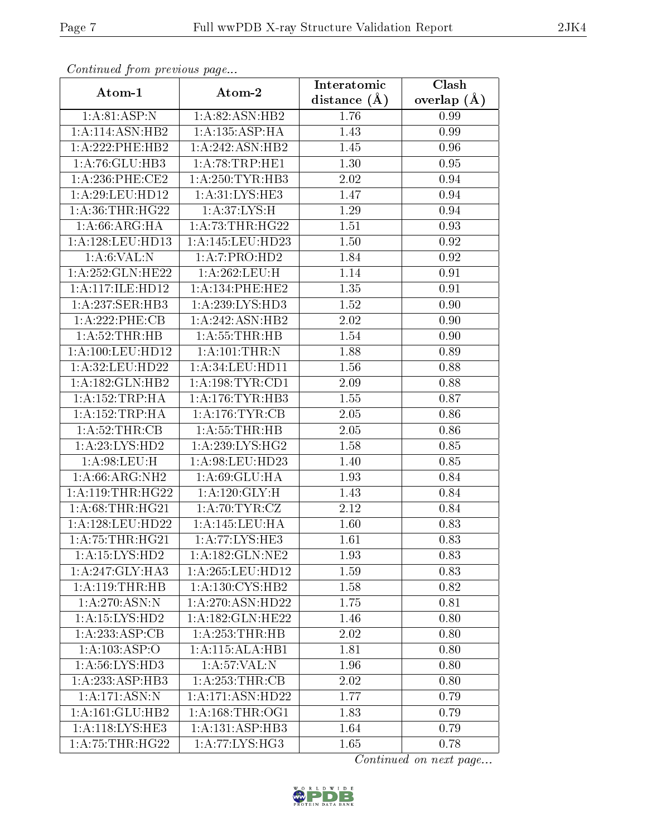| Continuea from previous page |                     | Interatomic       | Clash         |
|------------------------------|---------------------|-------------------|---------------|
| Atom-1                       | Atom-2              | distance $(A)$    | overlap $(A)$ |
| 1: A:81:ASP:N                | 1:A:82:ASN:HB2      | 1.76              | 0.99          |
| 1: A:114: ASN: HB2           | 1:A:135:ASP:HA      | $\overline{1.43}$ | 0.99          |
| 1:A:222:PHE:HB2              | 1:A:242:ASN:HB2     | 1.45              | 0.96          |
| 1:A:76:GLU:HB3               | 1: A:78:TRP:HE1     | 1.30              | 0.95          |
| $1: A:236:$ PHE:CE2          | 1: A:250: TYR: HB3  | 2.02              | 0.94          |
| 1: A:29: LEU: HD12           | 1: A:31: LYS: HE3   | 1.47              | 0.94          |
| 1: A:36:THR:HG22             | 1: A:37: LYS:H      | 1.29              | 0.94          |
| 1: A:66: ARG: HA             | 1: A:73:THR:HG22    | 1.51              | 0.93          |
| 1: A:128: LEU: HD13          | 1:A:145:LEU:HD23    | 1.50              | 0.92          |
| 1: A:6: VAL: N               | 1:A:7:PRO:HD2       | 1.84              | 0.92          |
| 1: A:252: GLN:HE22           | 1:A:262:LEU:H       | 1.14              | 0.91          |
| 1:A:117:ILE:HD12             | 1: A:134:PHE:HE2    | 1.35              | 0.91          |
| 1:A:237:SER:HB3              | 1:A:239:LYS:HD3     | 1.52              | 0.90          |
| 1:A:222:PHE:CB               | 1:A:242:ASN:HB2     | 2.02              | 0.90          |
| 1: A:52:THR:HB               | 1:A:55:THR:HB       | 1.54              | 0.90          |
| $1: A:100:$ LEU:HD $12$      | 1:A:101:THR:N       | 1.88              | 0.89          |
| 1:A:32:LEU:HD22              | 1:A:34:LEU:HDI1     | 1.56              | 0.88          |
| 1:A:182:GLN:HB2              | 1: A:198: TYR: CD1  | 2.09              | 0.88          |
| 1:A:152:TRP:HA               | 1: A:176:TYR:HB3    | 1.55              | 0.87          |
| 1: A: 152: TRP: HA           | 1: A:176: TYR: CB   | 2.05              | 0.86          |
| 1:A:52:THR:CB                | 1: A: 55: THR: HB   | 2.05              | 0.86          |
| 1: A: 23: LYS: HD2           | 1: A:239: LYS: HG2  | 1.58              | 0.85          |
| 1: A:98: LEU:H               | 1:A:98:LEU:HD23     | 1.40              | 0.85          |
| 1:A:66:ARG:NH2               | 1: A:69: GLU: HA    | 1.93              | 0.84          |
| 1: A:119:THR:HG22            | 1: A: 120: GLY: H   | 1.43              | 0.84          |
| 1: A:68:THR:HG21             | 1: A:70:TYR:CZ      | 2.12              | 0.84          |
| 1: A:128:LEU:HD22            | 1:A:145:LEU:HA      | 1.60              | 0.83          |
| $1:A:75:THR:H\overline{G21}$ | 1:A:77:LYS:HE3      | 1.61              | 0.83          |
| $1:A:15:LYS:\overline{HD2}$  | 1: A: 182: GLN: NE2 | 1.93              | 0.83          |
| 1:A:247:GLY:HA3              | 1:A:265:LEU:HD12    | 1.59              | 0.83          |
| 1:A:119:THR:HB               | 1: A: 130: CYS: HB2 | 1.58              | 0.82          |
| 1: A:270:ASN:N               | 1:A:270:ASN:HD22    | 1.75              | 0.81          |
| 1: A: 15: LYS: HD2           | 1:A:182:GLN:HE22    | 1.46              | 0.80          |
| 1:A:233:ASP:CB               | 1: A:253:THR:HB     | 2.02              | 0.80          |
| 1:A:103:ASP:O                | 1:A:115:ALA:HB1     | 1.81              | 0.80          |
| 1: A:56: LYS: HD3            | 1: A:57: VAL:N      | 1.96              | 0.80          |
| 1: A: 233: ASP: HB3          | 1: A:253:THR:CB     | 2.02              | 0.80          |
| $1:\overline{A:171:ASN:N}$   | 1:A:171:ASN:HD22    | 1.77              | 0.79          |
| 1:A:161:GLU:HB2              | 1: A: 168: THR: OG1 | 1.83              | 0.79          |
| 1:A:118:LYS:HE3              | 1:A:131:ASP:HB3     | 1.64              | 0.79          |
| 1: A: 75: THR: HG22          | 1: A:77: LYS: HG3   | 1.65              | 0.78          |

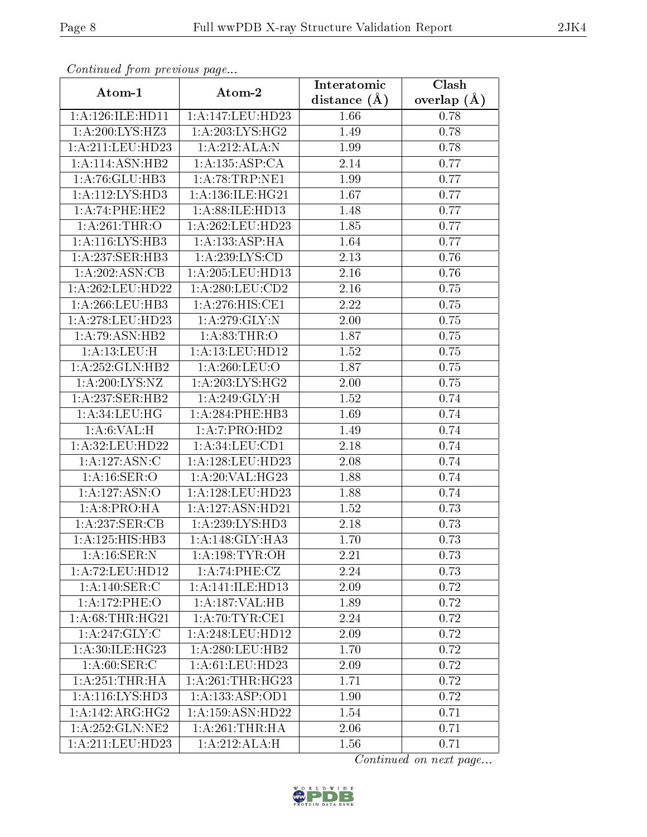| Commuca from previous page           |                              | Interatomic      | Clash         |
|--------------------------------------|------------------------------|------------------|---------------|
| Atom-1                               | Atom-2                       | distance $(\AA)$ | overlap $(A)$ |
| 1:A:126:ILE:HD11                     | 1:A:147:LEU:HD23             | 1.66             | 0.78          |
| 1: A:200:LYS:HZ3                     | $1:A:\overline{203:LYS:HG2}$ | 1.49             | 0.78          |
| 1: A:211:LEU:HD23                    | 1:A:212:ALA:N                | 1.99             | 0.78          |
| 1:A:114:ASN:HB2                      | 1: A: 135: ASP: CA           | 2.14             | 0.77          |
| 1:A:76:GLU:HB3                       | 1: A:78:TRP:NE1              | 1.99             | 0.77          |
| 1: A:112: LYS: HD3                   | 1:A:136:ILE:HG21             | 1.67             | 0.77          |
| 1:A:74:PHE:HE2                       | 1: A:88: ILE: HD13           | 1.48             | 0.77          |
| 1:A:261:THR:O                        | 1: A:262:LEU:HD23            | 1.85             | 0.77          |
| 1: A:116: LYS: HB3                   | $1:A:13\overline{3:ASP:HA}$  | 1.64             | 0.77          |
| 1: A:237: SER:HB3                    | 1: A:239: LYS:CD             | 2.13             | 0.76          |
| 1:A:202:ASN:CB                       | 1:A:205:LEU:HD13             | 2.16             | 0.76          |
| 1:A:262:LEU:HD22                     | 1:A:280:LEU:CD2              | 2.16             | 0.75          |
| 1: A:266:LEU:HB3                     | 1:A:276:HIS:CE1              | 2.22             | 0.75          |
| 1: A:278:LEU:HD23                    | 1: A:279: GLY:N              | 2.00             | 0.75          |
| 1:A:79:ASN:HB2                       | 1: A:83:THR:O                | 1.87             | 0.75          |
| 1:A:13:LEU:H                         | 1:A:13:LEU:HD12              | 1.52             | 0.75          |
| 1:A:252:GLN:HB2                      | 1:A:260:LEU:O                | 1.87             | 0.75          |
| 1:A:200:LYS:NZ                       | 1: A:203:LYS:HG2             | 2.00             | 0.75          |
| 1:A:237:SER:HB2                      | 1:A:249:GLY:H                | 1.52             | 0.74          |
| 1: A:34:LEU:HG                       | 1:A:284:PHE:HB3              | 1.69             | 0.74          |
| 1: A:6: VAL:H                        | 1:A:7:PRO:HD2                | 1.49             | 0.74          |
| 1: A:32: LEU: HD22                   | 1: A:34:LEU:CD1              | 2.18             | 0.74          |
| 1:A:127:ASN:C                        | 1:A:128:LEU:HD23             | 2.08             | 0.74          |
| 1: A:16: SER:O                       | 1: A:20: VAL:HG23            | 1.88             | 0.74          |
| 1:A:127:ASN:O                        | 1:A:128:LEU:HD23             | 1.88             | 0.74          |
| 1: A:8: PRO:HA                       | 1:A:127:ASN:HD21             | 1.52             | 0.73          |
| 1:A:237:SER:CB                       | 1: A:239: LYS: HD3           | 2.18             | 0.73          |
| 1: A: 125: HIS: HB3                  | 1:A:148:GLY:HA3              | 1.70             | 0.73          |
| 1: A:16: SER: N                      | 1: A:198:TYR:OH              | 2.21             | 0.73          |
| 1: A:72: LEU: HD12                   | 1: A:74:PHE:CZ               | 2.24             | 0.73          |
| $1:\overline{A:140:SER:C}$           | 1:A:141:ILE:HD13             | 2.09             | 0.72          |
| 1:A:172:PHE:O                        | 1:A:187:VAL:HB               | 1.89             | 0.72          |
| 1: A:68:THR:HG21                     | 1: A:70:TYR:CE1              | 2.24             | 0.72          |
| 1:A:247:GLY:C                        | 1:A:248:LEU:HD12             | 2.09             | 0.72          |
| 1: A:30: ILE:HG23                    | 1: A:280:LEU:HB2             | 1.70             | 0.72          |
| $1:\overline{A:60:\overline{SER:C}}$ | 1:A:61:LEU:HD23              | 2.09             | 0.72          |
| 1: A:251:THR:HA                      | 1: A:261:THR:HG23            | 1.71             | 0.72          |
| 1: A:116: LYS: HD3                   | 1: A: 133: ASP: OD1          | 1.90             | 0.72          |
| 1:A:142:ARG:HG2                      | 1:A:159:ASN:HD22             | 1.54             | 0.71          |
| 1:A:252:GLN:NE2                      | 1: A:261:THR:HA              | 2.06             | 0.71          |
| 1:A:211:LEU:HD23                     | 1:A:212:ALA:H                | 1.56             | 0.71          |

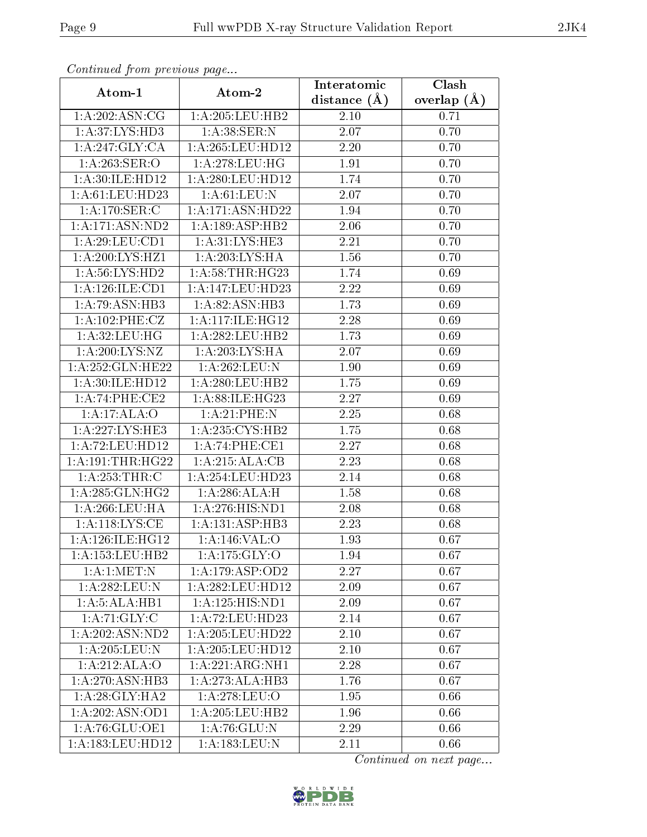| Communa from previous page       |                     | Interatomic       | Clash         |  |
|----------------------------------|---------------------|-------------------|---------------|--|
| Atom-1                           | Atom-2              | distance $(A)$    | overlap $(A)$ |  |
| 1: A:202: ASN:CG                 | 1:A:205:LEU:HB2     | 2.10<br>0.71      |               |  |
| 1: A:37: LYS: HD3                | 1:A:38:SER:N        | $\overline{2.07}$ | 0.70          |  |
| 1: A:247: GLY: CA                | 1: A:265:LEU:HD12   | 2.20<br>0.70      |               |  |
| 1: A:263: SER:O                  | 1: A:278:LEU:HG     | 1.91              | 0.70          |  |
| 1: A:30: ILE: HD12               | 1: A:280:LEU:HD12   | 1.74              | 0.70          |  |
| 1: A:61:LEU:HD23                 | 1: A:61:LEU:N       | 2.07              | 0.70          |  |
| 1:A:170:SER:C                    | 1:A:171:ASN:HD22    | 1.94              | 0.70          |  |
| 1: A: 171: ASN: ND2              | 1:A:189:ASP:HB2     | 2.06              | 0.70          |  |
| 1: A:29: LEU:CD1                 | 1: A:31: LYS: HE3   | 2.21              | 0.70          |  |
| 1:A:200:LYS:HZ1                  | 1: A:203: LYS: HA   | 1.56              | 0.70          |  |
| 1: A:56: LYS:HD2                 | 1: A:58:THR:HG23    | 1.74              | 0.69          |  |
| $1: A: 126: ILE: \overline{CD1}$ | 1:A:147:LEU:HD23    | 2.22              | 0.69          |  |
| 1:A:79:ASN:HB3                   | 1: A:82: ASN:HB3    | 1.73              | 0.69          |  |
| 1:A:102:PHE:CZ                   | 1: A:117: ILE: HG12 | 2.28              | 0.69          |  |
| 1:A:32:LEU:HG                    | 1:A:282:LEU:HB2     | 1.73              | 0.69          |  |
| 1: A:200: LYS: NZ                | 1: A:203: LYS: HA   | 2.07              | 0.69          |  |
| 1:A:252:GLN:HE22                 | 1:A:262:LEU:N       | 1.90              | 0.69          |  |
| 1: A:30: ILE: HD12               | 1: A:280:LEU:HB2    | 1.75              | 0.69          |  |
| 1:A:74:PHE:CE2                   | 1:A:88:ILE:HG23     | 2.27              | 0.69          |  |
| 1:A:17:ALA:O                     | 1: A:21:PHE:N       | 2.25              | 0.68          |  |
| 1:A:227:LYS:HE3                  | 1: A: 235: CYS: HB2 | 1.75              | 0.68          |  |
| 1: A: 72: LEU: HD12              | 1:A:74:PHE:CE1      | 2.27              | 0.68          |  |
| 1: A:191:THR:HG22                | 1:A:215:ALA:CB      | 2.23              | 0.68          |  |
| 1: A:253:THR:C                   | 1:A:254:LEU:HD23    | 2.14              | 0.68          |  |
| 1: A:285: GLN: HG2               | 1:A:286:ALA:H       | 1.58              | 0.68          |  |
| 1: A:266:LEU:HA                  | 1:A:276:HIS:ND1     | 2.08              | 0.68          |  |
| 1: A:118: LYS: CE                | 1:A:131:ASP:HB3     | 2.23              | 0.68          |  |
| 1: A:126: ILE: HGI2              | 1: A:146: VAL:O     | 1.93              | 0.67          |  |
| 1:A:153:LEU:HB2                  | 1:A:175:GLY:O       | 1.94              | 0.67          |  |
| 1: A:1: MET: N                   | 1:A:179:ASP:OD2     | 2.27              | 0.67          |  |
| 1:A:282:LEU:N                    | 1:A:282:LEU:HD12    | 2.09              | 0.67          |  |
| 1:A:5:ALA:HBI                    | 1:A:125:HIS:ND1     | 2.09              | 0.67          |  |
| 1: A:71: GLY: C                  | 1:A:72:LEU:HD23     | 2.14              | 0.67          |  |
| 1:A:202:ASN:ND2                  | 1:A:205:LEU:HD22    | 2.10              | 0.67          |  |
| 1:A:205:LEU:N                    | 1: A:205:LEU:HD12   | 2.10              | 0.67          |  |
| 1:A:212:ALA:O                    | 1:A:221:ARG:NH1     | 2.28              | 0.67          |  |
| 1: A:270: ASN:HB3                | 1:A:273:ALA:HB3     | 1.76              | 0.67          |  |
| 1: A:28: GLY:HA2                 | 1:A:278:LEU:O       | 1.95              | 0.66          |  |
| 1:A:202:ASN:OD1                  | 1: A:205:LEU:HB2    | 1.96              | 0.66          |  |
| 1:A:76:GLU:OE1                   | 1: A:76: GLU:N      | 2.29              | 0.66          |  |
| 1:A:183:LEU:HD12                 | 1: A: 183: LEU: N   | 2.11              | 0.66          |  |

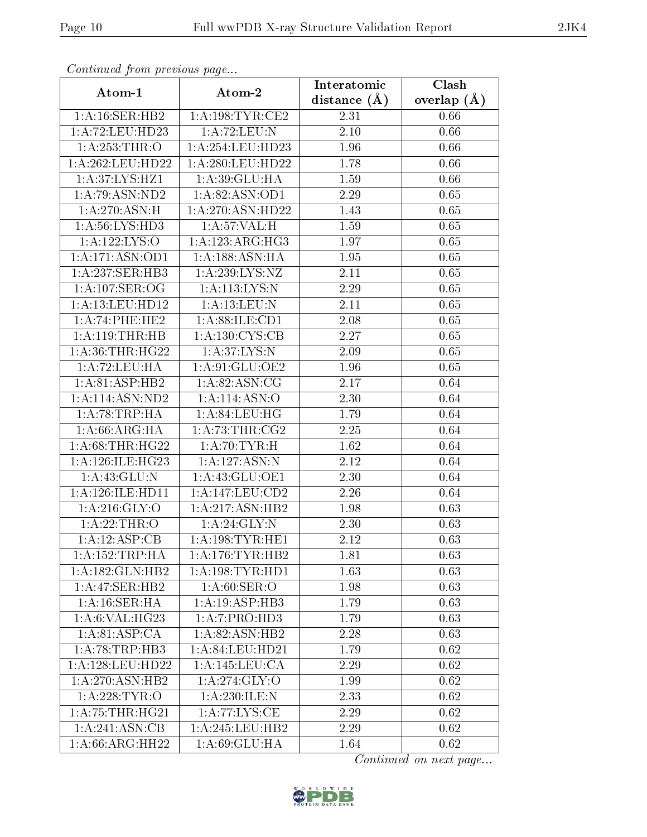| Continuea from previous page<br>$\overline{\textbf{C}}$ lash<br>Interatomic |                            |                   |               |  |  |
|-----------------------------------------------------------------------------|----------------------------|-------------------|---------------|--|--|
| Atom-1                                                                      | Atom-2                     | distance $(\AA)$  | overlap $(A)$ |  |  |
| 1: A:16: SER: HB2                                                           | 1: A: 198: TYR: CE2        | 2.31              | 0.66          |  |  |
| 1:A:72:LEU:HD23                                                             | 1: A:72:LEU:N              | $\overline{2.10}$ | 0.66          |  |  |
| 1: A:253:THR:O                                                              | 1:A:254:LEU:HD23           | 1.96              | 0.66          |  |  |
| 1:A:262:LEU:HD22                                                            | 1:A:280:LEU:HD22           | 1.78              | 0.66          |  |  |
| 1:A:37:LYS:HZ1                                                              | 1: A:39: GLU: HA           | 1.59              | 0.66          |  |  |
| 1: A:79: ASN: ND2                                                           | 1: A:82: ASN:OD1           | 2.29              | 0.65          |  |  |
| 1:A:270:ASN:H                                                               | 1:A:270:ASN:HD22           | 1.43              | 0.65          |  |  |
| 1: A:56: LYS: HD3                                                           | 1: A:57: VAL:H             | 1.59              | 0.65          |  |  |
| 1:A:122:LYS:O                                                               | 1: A:123:ARG:HG3           | 1.97              | 0.65          |  |  |
| 1:A:171:ASN:OD1                                                             | 1:A:188:ASN:HA             | 1.95              | 0.65          |  |  |
| 1:A:237:SER:HB3                                                             | 1: A: 239: LYS: NZ         | 2.11              | 0.65          |  |  |
| 1: A:107: SER:OG                                                            | 1: A:113: LYS:N            | 2.29              | 0.65          |  |  |
| 1: A: 13: LEU: HD12                                                         | 1: A:13:LEU:N              | 2.11              | 0.65          |  |  |
| 1:A:74:PHE:HE2                                                              | 1: A:88: ILE: CD1          | 2.08              | 0.65          |  |  |
| 1:A:119:THR:HB                                                              | 1: A: 130: CYS: CB         | 2.27              | 0.65          |  |  |
| 1: A:36:THR:HG22                                                            | 1: A:37: LYS:N             | 2.09              | 0.65          |  |  |
| 1: A:72:LEU:HA                                                              | 1:A:91:GLU:OE2             | 1.96              | 0.65          |  |  |
| 1:A:81:ASP:HB2                                                              | 1: A:82: ASN:CG            | 2.17              | 0.64          |  |  |
| 1: A:114: ASN:ND2                                                           | $1:\overline{A:114:ASN:O}$ | 2.30              | 0.64          |  |  |
| 1:A:78:TRP:HA                                                               | 1: A:84:LEU:HG             | 1.79              | 0.64          |  |  |
| 1: A:66: ARG: HA                                                            | 1: A:73:THR:CG2            | $\overline{2.25}$ | 0.64          |  |  |
| 1: A:68:THR:HG22                                                            | 1:A:70:TYR:H               | 1.62              | 0.64          |  |  |
| 1:A:126:ILE:HG23                                                            | 1:A:127:ASN:N              | 2.12              | 0.64          |  |  |
| 1: A:43: GLU:N                                                              | 1:A:43:GLU:OE1             | 2.30              | 0.64          |  |  |
| 1: A:126: ILE: HD11                                                         | 1:A:147:LEU:CD2            | 2.26              | 0.64          |  |  |
| 1:A:216:GLY:O                                                               | 1:A:217:ASN:HB2            | 1.98              | 0.63          |  |  |
| 1:A:22:THR:O                                                                | 1: A:24: GLY:N             | 2.30              | 0.63          |  |  |
| 1:A:12:ASP:CB                                                               | 1:A:198:TYR:HE1            | $\overline{2}.12$ | 0.63          |  |  |
| 1: A: 152: TRP: HA                                                          | 1: A:176:TYR:HB2           | 1.81              | 0.63          |  |  |
| 1:A:182:GLN:HB2                                                             | 1: A: 198: TYR: HD1        | 1.63              | 0.63          |  |  |
| 1: A:47: SER:HB2                                                            | 1: A:60: SER:O             | 1.98              | 0.63          |  |  |
| 1: A:16: SER: HA                                                            | 1: A:19: ASP:HB3           | 1.79              | 0.63          |  |  |
| 1: A:6: VAL: HG23                                                           | 1:A:7:PRO:H <sub>D3</sub>  | 1.79              | 0.63          |  |  |
| 1:A:81:ASP:CA                                                               | 1: A:82: ASN:HB2           | 2.28              | 0.63          |  |  |
| 1:A:78:TRP:HB3                                                              | 1:A:84:LEU:HD21            | 1.79              | 0.62          |  |  |
| 1:A:128:LEU:HD22                                                            | 1:A:145:LEU:CA             | 2.29              | 0.62          |  |  |
| 1: A:270: ASN:HB2                                                           | 1: A:274: GLY:O            | 1.99              | 0.62          |  |  |
| 1: A:228:TYR:O                                                              | 1:A:230:ILE:N              | 2.33              | 0.62          |  |  |
| 1: A:75:THR:HG21                                                            | 1: A:77: LYS: CE           | 2.29              | 0.62          |  |  |
| 1:A:241:ASN:CB                                                              | 1: A:245:LEU:HB2           | 2.29              | 0.62          |  |  |
| 1: A:66:ARG:HH22                                                            | 1:A:69:GLU:HA              | 1.64              | 0.62          |  |  |

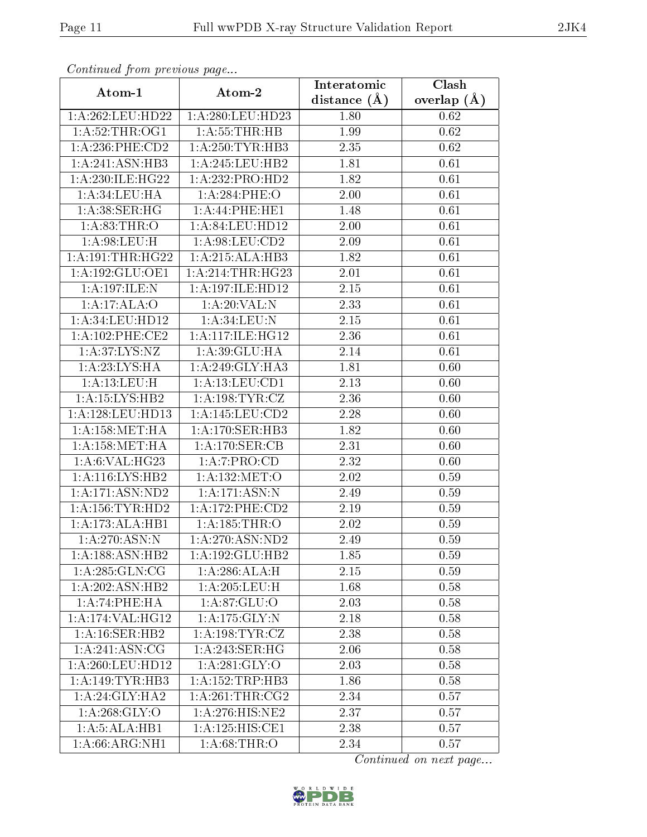| Continuea from previous page<br>Clash<br>Interatomic |                              |                |               |  |  |
|------------------------------------------------------|------------------------------|----------------|---------------|--|--|
| Atom-1                                               | Atom-2                       | distance $(A)$ | overlap $(A)$ |  |  |
| 1:A:262:LEU:HD22                                     | 1:A:280:LEU:HD23             | 1.80           | 0.62          |  |  |
| 1: A:52:THR:OG1                                      | 1: A: 55: THR: HB            | 1.99           | 0.62          |  |  |
| 1:A:236:PHE:CD2                                      | 1: A:250: TYR: HB3           | 2.35           | 0.62          |  |  |
| 1:A:241:ASN:HB3                                      | 1:A:245:LEU:HB2              | 1.81           | 0.61          |  |  |
| 1:A:230:ILE:HG22                                     | 1:A:232:PRO:HD2              | 1.82           | 0.61          |  |  |
| 1: A:34:LEU:HA                                       | 1:A:284:PHE:O                | 2.00           | 0.61          |  |  |
| 1: A:38: SER:HG                                      | 1:A:44:PHE:HE1               | 1.48           | 0.61          |  |  |
| 1:A.83:THR:O                                         | 1:A:84:LEU:HD12              | 2.00           | 0.61          |  |  |
| 1:A:98:LEU:H                                         | 1:A:98:LEU:CD2               | 2.09           | 0.61          |  |  |
| 1: A:191:THR:HG22                                    | 1:A:215:ALA:HB3              | 1.82           | 0.61          |  |  |
| 1:A:192:GLU:OE1                                      | 1: A:214:THR:HG23            | 2.01           | 0.61          |  |  |
| 1:A:197:ILE:N                                        | 1: A:197: ILE: HD12          | 2.15           | 0.61          |  |  |
| 1:A:17:ALA:O                                         | 1:A:20:VAL:N                 | 2.33           | 0.61          |  |  |
| 1: A:34:LEU:HD12                                     | 1: A:34:LEU:N                | 2.15           | 0.61          |  |  |
| $1: A:102:$ PHE:CE2                                  | 1: A:117: ILE: HG12          | 2.36           | 0.61          |  |  |
| 1: A:37: LYS:NZ                                      | 1:A:39:GLU:HA                | 2.14           | 0.61          |  |  |
| 1: A:23: LYS: HA                                     | 1:A:249:GLY:HA3              | 1.81           | 0.60          |  |  |
| 1:A:13:LEU:H                                         | 1: A:13: LEU: CD1            | 2.13           | 0.60          |  |  |
| 1: A: 15: LYS: HB2                                   | 1:A:198:TYR:CZ               | 2.36           | 0.60          |  |  |
| 1: A:128: LEU: HD13                                  | 1:A:145:LEU:CD2              | 2.28           | 0.60          |  |  |
| 1: A: 158: MET: HA                                   | 1: A:170: SER:HB3            | 1.82           | 0.60          |  |  |
| 1: A: 158: MET: HA                                   | 1: A:170: SER: CB            | 2.31           | 0.60          |  |  |
| 1: A:6: VAL:HG23                                     | 1:A:7:PRO:CD                 | 2.32           | 0.60          |  |  |
| 1: A:116: LYS: HB2                                   | 1:A:132:MET:O                | 2.02           | 0.59          |  |  |
| 1: A:171: ASN:ND2                                    | 1: A:171: ASN: N             | 2.49           | 0.59          |  |  |
| 1: A: 156: TYR: HD2                                  | 1:A:172:PHE:CD2              | 2.19           | 0.59          |  |  |
| 1:A:173:ALA:HB1                                      | 1: A: 185: THR:O             | 2.02           | 0.59          |  |  |
| 1: A:270:ASN:N                                       | 1:A:270:ASN:ND2              | 2.49           | $0.59\,$      |  |  |
| 1: A: 188: ASN: HB2                                  | 1:A:192:GLU:HB2              | 1.85           | 0.59          |  |  |
| 1: A:285: GLN:CG                                     | 1:A:286:ALA:H                | 2.15           | 0.59          |  |  |
| 1:A:202:ASN:HB2                                      | 1: A:205:LEU:H               | 1.68           | 0.58          |  |  |
| 1:A:74:PHE:HA                                        | 1: A:87: GLU:O               | 2.03           | 0.58          |  |  |
| 1: A:174: VAL:HG12                                   | 1: A: 175: GLY:N             | 2.18           | 0.58          |  |  |
| 1: A:16: SER: HB2                                    | 1:A:198:TYR:CZ               | 2.38           | 0.58          |  |  |
| 1: A:241: ASN:CG                                     | 1: A:243: SER:HG             | 2.06           | 0.58          |  |  |
| 1: A:260:LEU:HD12                                    | 1: A:281: GLY:O              | 2.03           | 0.58          |  |  |
| 1:A:149:TYR:HB3                                      | 1: A: 152: TRP: HB3          | 1.86           | 0.58          |  |  |
| 1:A:24:GLY:HA2                                       | 1: A:261:THR:CG2             | 2.34           | 0.57          |  |  |
| 1: A:268: GLY:O                                      | $1:A:276:HIS:\overline{NE2}$ | 2.37           | 0.57          |  |  |
| $1:A:5:A\overline{LA:HBI}$                           | $1:A:125:HI\overline{S:CE1}$ | 2.38           | 0.57          |  |  |
| 1:A:66:ARG:NH1                                       | 1: A:68:THR:O                | 2.34           | 0.57          |  |  |

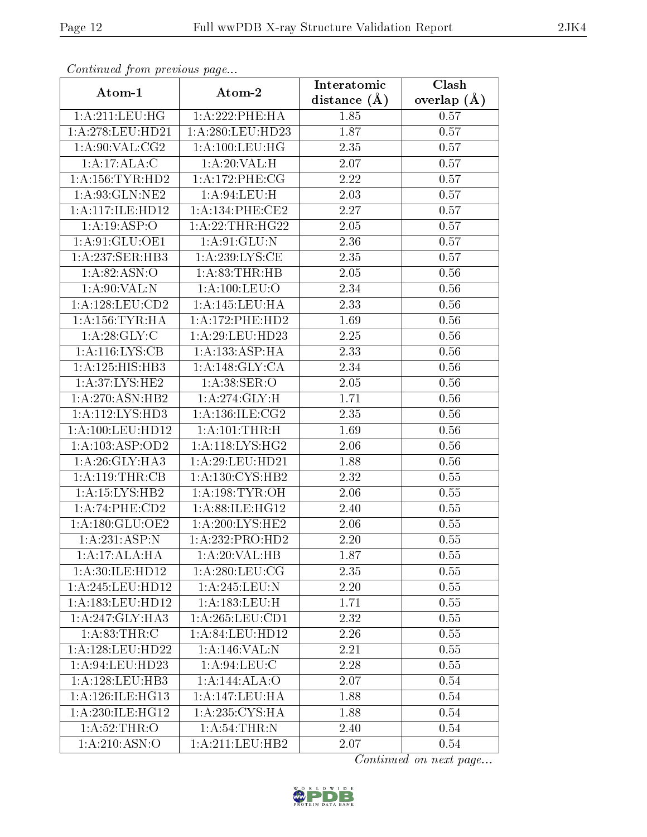| Continuea from previous page<br>Clash<br>Interatomic |                                 |                |               |  |
|------------------------------------------------------|---------------------------------|----------------|---------------|--|
| Atom-1                                               | Atom-2                          | distance $(A)$ | overlap $(A)$ |  |
| 1: A:211:LEU:HG                                      | 1:A:222:PHE:HA                  | 1.85           | 0.57          |  |
| 1:A:278:LEU:HD21                                     | 1:A:280:LEU:HD23                | 1.87           | 0.57          |  |
| 1: A:90: VAL: CG2                                    | 1: A:100:LEU:HG                 | 2.35           | 0.57          |  |
| 1:A:17:ALA:C                                         | 1:A:20:VAL:H                    | 2.07           | 0.57          |  |
| 1: A: 156: TYR: HD2                                  | 1: A:172:PHE:CG                 | 2.22           | 0.57          |  |
| 1:A:93:GLN:NE2                                       | 1: A:94:LEU:H                   | 2.03           | 0.57          |  |
| 1:A:117:1LE:HD12                                     | 1:A:134:PHE:CE2                 | 2.27           | 0.57          |  |
| 1:A:19:ASP:O                                         | 1: A:22:THR:HG22                | 2.05           | 0.57          |  |
| 1:A:91:GLU:OE1                                       | 1: A:91: GLU:N                  | 2.36           | 0.57          |  |
| 1: A:237: SER:HB3                                    | 1: A:239:LYS:CE                 | 2.35           | 0.57          |  |
| 1: A:82: ASN:O                                       | 1:A:83:THR:HB                   | 2.05           | 0.56          |  |
| 1: A:90: VAL: N                                      | 1: A: 100: LEU: O               | 2.34           | 0.56          |  |
| 1: A: 128: LEU: CD2                                  | 1:A:145:LEU:HA                  | 2.33           | 0.56          |  |
| 1: A: 156: TYR: HA                                   | 1: A:172: PHE:HD2               | 1.69           | 0.56          |  |
| 1: A:28: GLY: C                                      | 1:A:29:LEU:HD23                 | 2.25           | 0.56          |  |
| 1:A:116:LYS:CB                                       | 1:A:133:ASP:HA                  | 2.33           | 0.56          |  |
| 1:A:125:HIS:HB3                                      | 1:A:148:GLY:CA                  | 2.34           | 0.56          |  |
| 1:A:37:LYS:HE2                                       | 1: A:38: SER:O                  | 2.05           | 0.56          |  |
| 1: A:270: ASN:HB2                                    | 1: A:274: GLY:H                 | 1.71           | 0.56          |  |
| 1:A:112:LYS:HD3                                      | 1: A: 136: ILE: C <sub>G2</sub> | 2.35           | 0.56          |  |
| 1:A:100:LEU:HD12                                     | 1:A:101:THR:H                   | 1.69           | 0.56          |  |
| 1:A:103:ASP:OD2                                      | 1: A:118: LYS: HG2              | 2.06           | 0.56          |  |
| 1: A:26: GLY:HA3                                     | 1: A:29:LEU:HD21                | 1.88           | 0.56          |  |
| 1: A:119:THR:CB                                      | 1: A: 130: CYS: HB2             | 2.32           | 0.55          |  |
| 1:A:15:LYS:HB2                                       | 1: A:198: TYR:OH                | 2.06           | 0.55          |  |
| 1:A:74:PHE:CD2                                       | 1:A:88:ILE:HG12                 | 2.40           | 0.55          |  |
| 1: A:180: GLU:OE2                                    | 1:A:200:LYS:HE2                 | 2.06           | 0.55          |  |
| 1:A:231:ASP:N                                        | 1:A:232:PRO:HD2                 | 2.20           | 0.55          |  |
| 1:A:17:ALA:HA                                        | 1:A:20:VAL:HB                   | 1.87           | 0.55          |  |
| 1: A:30: ILE: HD12                                   | $1: A:280:$ LEU:CG              | 2.35           | 0.55          |  |
| 1:A:245:LEU:HD12                                     | 1: A:245:LEU:N                  | 2.20           | 0.55          |  |
| 1:A:183:LEU:HD12                                     | 1: A: 183: LEU:H                | 1.71           | 0.55          |  |
| 1: A:247: GLY:HA3                                    | 1: A:265:LEU:CD1                | 2.32           | 0.55          |  |
| 1:A.83:THR:C                                         | 1:A:84:LEU:HD12                 | 2.26           | 0.55          |  |
| 1: A:128:LEU:HD22                                    | 1:A:146:VAL:N                   | 2.21           | 0.55          |  |
| 1: A:94:LEU:HD23                                     | 1: A:94:LEU:C                   | 2.28           | 0.55          |  |
| 1: A: 128: LEU: HB3                                  | 1:A:144:ALA:O                   | 2.07           | 0.54          |  |
| 1: A:126: ILE: HG13                                  | 1:A:147:LEU:HA                  | 1.88           | 0.54          |  |
| 1: A:230: ILE: HG12                                  | 1: A:235: CYS:HA                | 1.88           | 0.54          |  |
| 1: A:52:THR:O                                        | 1: A:54:THR:N                   | 2.40           | 0.54          |  |
| 1: A:210: ASN:O                                      | 1:A:211:LEU:HB2                 | 2.07           | 0.54          |  |

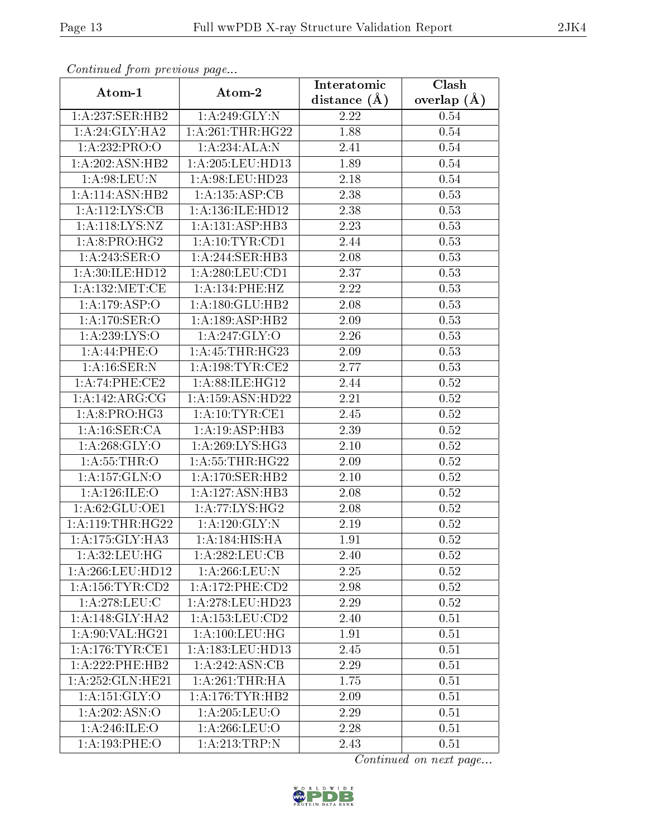| Communa from previous page   |                                   | Interatomic       | Clash         |  |
|------------------------------|-----------------------------------|-------------------|---------------|--|
| Atom-1                       | Atom-2                            | distance $(A)$    | overlap $(A)$ |  |
| 1: A:237: SER: HB2           | 1: A:249: GLY:N                   | 2.22              | 0.54          |  |
| 1:A:24:GLY:HA2               | 1:A:261:THR:HG22                  | 1.88              | 0.54          |  |
| 1:A:232:PRO:O                | 1:A:234:ALA:N                     | 2.41              | $0.54\,$      |  |
| 1:A:202:ASN:HB2              | 1:A:205:LEU:HD13                  | 1.89              | 0.54          |  |
| 1: A:98: LEU: N              | 1:A:98:LEU:HD23                   | $2.18\,$          | $0.54\,$      |  |
| 1: A:114: ASN:HB2            | 1:A:135:ASP:CB                    | 2.38              | 0.53          |  |
| 1:A:112:LYS:CB               | 1: A: 136: ILE: HD12              | $\overline{2}.38$ | 0.53          |  |
| 1:A:118:LYS:NZ               | 1:A:131:ASP:HB3                   | 2.23              | 0.53          |  |
| 1:A:8:PRO:HG2                | 1: A:10:TYR:CD1                   | 2.44              | 0.53          |  |
| 1:A:243:SER:O                | 1: A:244: SER:HB3                 | 2.08              | 0.53          |  |
| 1:A:30:ILE:HD12              | 1: A:280:LEU:CD1                  | 2.37              | 0.53          |  |
| 1: A: 132: MET:CE            | 1:A:134:PHE:HZ                    | 2.22              | 0.53          |  |
| $1:A:179.\overline{ASP:O}$   | 1:A:180:GLU:HB2                   | 2.08              | 0.53          |  |
| 1:A:170:SER:O                | 1:A:189:ASP:HB2                   | 2.09              | 0.53          |  |
| 1:A:239:LYS:O                | 1:A:247:GLY:O                     | 2.26              | 0.53          |  |
| 1:A:44:PHE:O                 | 1: A: 45: THR: HG23               | 2.09              | 0.53          |  |
| 1: A:16: SER: N              | 1: A: 198: TYR: CE2               | 2.77              | 0.53          |  |
| 1:A:74:PHE:CE2               | 1: A:88: ILE: HG12                | 2.44              | 0.52          |  |
| 1: A:142: ARG: CG            | 1:A:159:ASN:HD22                  | 2.21              | 0.52          |  |
| 1:A:8:PRO:HG3                | 1: A:10:TYR:CE1                   | 2.45              | 0.52          |  |
| 1:A:16:SER:CA                | 1: A:19: ASP:HB3                  | 2.39              | 0.52          |  |
| $1: A:268: \overline{GLY:O}$ | 1: A:269: LYS: HG3                | $2.10\,$          | 0.52          |  |
| 1: A: 55: THR:O              | 1: A: 55: THR: HG22               | 0.52<br>2.09      |               |  |
| 1: A: 157: GLN:O             | 1:A:170:SER:HB2                   | 2.10              | 0.52          |  |
| 1: A:126: ILE: O             | 1:A:127:ASN:HB3                   | 2.08              | 0.52          |  |
| 1: A:62: GLU:OE1             | 1: A:77: LYS: HG2                 | 2.08              | 0.52          |  |
| 1: A:119:THR:HG22            | 1: A: 120: GLY: N                 | 2.19              | 0.52          |  |
| 1: A: 175: GLY: HA3          | $1:A:184:HIS:\overline{HA}$       | 1.91              | 0.52          |  |
| 1: A:32:LEU:HG               | 1:A:282:LEU:CB                    | 2.40              | 0.52          |  |
| 1:A:266:LEU:HD12             | 1: A:266:LEU: N                   | 2.25              | 0.52          |  |
| 1: A:156: TYR:CD2            | $1:A:172:PHE:\overline{CD2}$      | 2.98              | 0.52          |  |
| 1: A:278:LEU:C               | 1:A:278:LEU:HD23                  | 2.29              | 0.52          |  |
| 1:A:148:GLY:HA2              | 1:A:153:LEU:CD2                   | 2.40              | 0.51          |  |
| 1:A:90:VAL:HG21              | 1: A: 100: LEU: HG                | 1.91              | 0.51          |  |
| 1: A:176: TYR: CE1           | 1: A: 183: LEU: HD13              | 2.45              | 0.51          |  |
| 1:A:222:PHE:HB2              | 1:A:242:ASN:CB                    | 2.29              | 0.51          |  |
| 1:A:252:GLN:HE21             | 1: A:261:THR:HA                   | 1.75              | 0.51          |  |
| 1:A:151:GLY:O                | 1: A:176:TYR:HB2                  | 2.09              | 0.51          |  |
| 1:A:202:ASN:O                | 1: A:205:LEU:O                    | 2.29              | 0.51          |  |
| 1: A:246: ILE:O              | 1:A:266:LEU:O                     | 2.28              | 0.51          |  |
| 1: A: 193: PHE: O            | $1:A:213:\overline{\text{TRP:N}}$ | 2.43              | 0.51          |  |

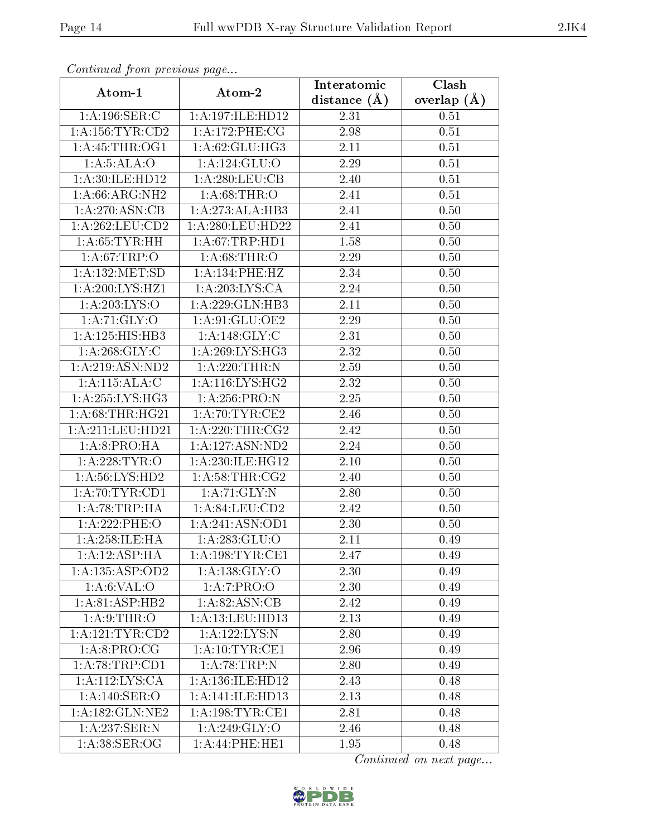| Continuea from previous page<br>Clash<br>Interatomic |                      |                   |               |  |  |
|------------------------------------------------------|----------------------|-------------------|---------------|--|--|
| Atom-1                                               | Atom-2               | distance $(A)$    | overlap $(A)$ |  |  |
| 1:A:196:SER:C                                        | 1:A:197:ILE:HD12     | 2.31              | 0.51          |  |  |
| 1: A: 156: TYR: CD2                                  | 1:A:172:PHE:CG       | 2.98<br>0.51      |               |  |  |
| 1: A:45:THR:OG1                                      | 1:A:62:GLU:HG3       | 2.11<br>0.51      |               |  |  |
| 1: A:5: ALA:O                                        | 1: A: 124: GLU:O     | 2.29              | 0.51          |  |  |
| 1: A:30: ILE: HD12                                   | 1:A:280:LEU:CB       | 2.40              | 0.51          |  |  |
| 1:A:66:ARG:NH2                                       | 1: A:68:THR:O        | 2.41              | 0.51          |  |  |
| 1: A:270: ASN:CB                                     | 1:A:273:ALA:HB3      | 2.41              | 0.50          |  |  |
| 1:A:262:LEU:CD2                                      | 1: A:280:LEU:HD22    | 2.41              | 0.50          |  |  |
| 1: A:65:TYR:HH                                       | 1: A:67:TRP:HD1      | 1.58              | 0.50          |  |  |
| 1: A:67:TRP:O                                        | 1: A:68:THR:O        | 2.29              | 0.50          |  |  |
| 1: A: 132: MET: SD                                   | 1:A:134:PHE:HZ       | 2.34              | 0.50          |  |  |
| 1: A:200:LYS:HZ1                                     | 1: A:203: LYS:CA     | 2.24              | 0.50          |  |  |
| 1:A:203:LYS:O                                        | 1:A:229:GLN:HB3      | 2.11              | 0.50          |  |  |
| 1: A:71: GLY:O                                       | 1:A:91:GLU:OE2       | 2.29              | 0.50          |  |  |
| 1: A: 125: HIS: HB3                                  | 1:A:148:GLY:C        | 2.31              | 0.50          |  |  |
| 1: A:268: GLY: C                                     | 1:A:269:LYS:HG3      | 2.32              | 0.50          |  |  |
| 1: A:219: ASN:ND2                                    | 1: A:220:THR:N       | $\overline{2.59}$ | 0.50          |  |  |
| 1:A:115:ALA:C                                        | 1: A:116: LYS: HG2   | 2.32              | 0.50          |  |  |
| 1:A:255:LYS:HG3                                      | 1:A:256:PRO:N        | 2.25              | 0.50          |  |  |
| 1:A:68:THR:HG21                                      | 1: A:70:TYR:CE2      | 2.46              | 0.50          |  |  |
| 1:A:211:LEU:HD21                                     | 1: A:220:THR:CG2     | 2.42              | 0.50          |  |  |
| 1: A:8: PRO:HA                                       | 1: A: 127: ASN: ND2  | 2.24              | 0.50          |  |  |
| 1: A:228:TYR:O                                       | 1:A:230:ILE:HG12     | 2.10              | 0.50          |  |  |
| 1:A:56:LYS:HD2                                       | 1: A:58:THR:CG2      | $\overline{2.40}$ | 0.50          |  |  |
| 1: A:70:TYR:CD1                                      | 1:A:71:GLY:N         | 2.80              | 0.50          |  |  |
| 1:A:78:TRP:HA                                        | 1:A:84:LEU:CD2       | 2.42              | 0.50          |  |  |
| 1:A:222:PHE:O                                        | 1:A:241:ASN:OD1      | 2.30              | 0.50          |  |  |
| 1: A: 258: ILE: HA                                   | 1: A: 283: GLU:O     | 2.11              | 0.49          |  |  |
| 1:A:12:ASP:HA                                        | 1: A: 198: TYR: CE1  | 2.47              | 0.49          |  |  |
| 1:A:135:ASP:OD2                                      | 1: A: 138: GLY: O    | 2.30              | 0.49          |  |  |
| 1: A:6: VAL:O                                        | 1:A:7:PRO:O          | 2.30              | 0.49          |  |  |
| 1:A:81:ASP:HB2                                       | 1:A:82:ASN:CB        | 2.42              | 0.49          |  |  |
| 1: A:9:THR:O                                         | 1:A:13:LEU:HD13      | 2.13              | 0.49          |  |  |
| 1: A: 121: TYR: CD2                                  | 1:A:122:LYS:N        | 2.80              | 0.49          |  |  |
| 1:A:8:PRO:CG                                         | 1: A:10:TYR:CE1      | 2.96              | 0.49          |  |  |
| 1: A:78:TRP:CD1                                      | 1:A:78:TRP:N         | 2.80              | 0.49          |  |  |
| 1:A:112:LYS:CA                                       | 1: A: 136: ILE: HD12 | 2.43              | 0.48          |  |  |
| 1:A:140:SER:O                                        | 1:A:141:1LE:HD13     | 2.13              | 0.48          |  |  |
| 1:A:182:GLN:NE2                                      | 1: A: 198: TYR: CE1  | 2.81              | 0.48          |  |  |
| 1:A:237:SER:N                                        | 1:A:249:GLY:O        | 2.46              | 0.48          |  |  |
| 1: A:38: SER:OG                                      | 1:A:44:PHE:HE1       | 1.95              | 0.48          |  |  |

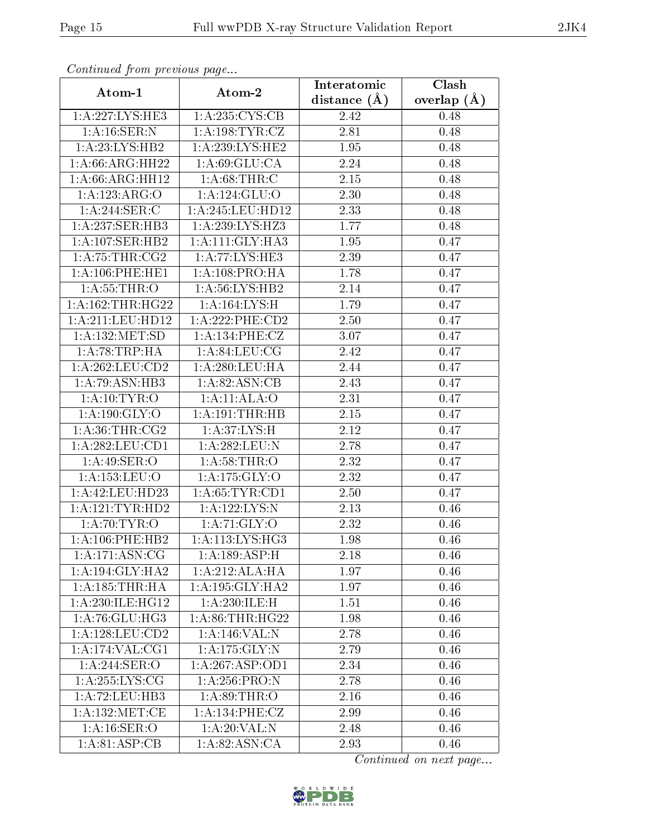| Continuea from previous page |                                 | Interatomic       | Clash         |
|------------------------------|---------------------------------|-------------------|---------------|
| Atom-1                       | Atom-2                          | distance $(A)$    | overlap $(A)$ |
| 1:A:227:LYS:HE3              | 1:A:235:CYS:CB                  | 2.42              | 0.48          |
| 1: A:16: SER: N              | 1: A: 198: TYR: CZ              | 2.81              | 0.48          |
| 1: A:23: LYS: HB2            | 1:A:239:LYS:HE2                 | 1.95              | 0.48          |
| 1: A:66: ARG: HH22           | 1: A:69: GLU:CA                 | 2.24              | 0.48          |
| $1:A:66:ARG:\overline{HH12}$ | 1: A:68:THR:C                   | 2.15              | 0.48          |
| 1:A:123:ARG:O                | 1: A: 124: GLU: O               | 2.30              | 0.48          |
| 1:A:244:SER:C                | 1: A:245:LEU:HD12               | $\overline{2}.33$ | 0.48          |
| 1: A:237: SER:HB3            | 1: A:239: LYS: HZ3              | 1.77              | 0.48          |
| 1:A:107:SER:HB2              | 1: A:111: GLY:HA3               | 1.95              | 0.47          |
| 1: A:75:THR:CG2              | 1:A:77:LYS:HE3                  | 2.39              | 0.47          |
| 1:A:106:PHE:HE1              | 1:A:108:PRO:HA                  | 1.78              | 0.47          |
| 1: A: 55: THR: O             | 1: A:56: LYS: HB2               | 2.14              | 0.47          |
| 1: A: 162: THR: HG22         | 1:A:164:LYS:H                   | 1.79              | 0.47          |
| 1: A:211:LEU:HD12            | $1:A:222:PHE:\overline{CD2}$    | 2.50              | 0.47          |
| 1: A: 132: MET: SD           | 1: A:134: PHE: CZ               | 3.07              | 0.47          |
| 1:A:78:TRP:HA                | 1: A:84:LEU:CG                  | 2.42              | 0.47          |
| 1: A:262:LEU:CD2             | 1:A:280:LEU:HA                  | 2.44              | 0.47          |
| 1:A:79:ASN:HB3               | 1:A:82:ASN:CB                   | 2.43              | 0.47          |
| 1: A:10: TYR:O               | 1:A:11:ALA:O                    | 2.31              | 0.47          |
| 1: A: 190: GLY: O            | 1: A:191:THR:HB                 | 2.15              | 0.47          |
| 1: A:36:THR:CG2              | 1: A:37: LYS:H                  | 2.12              | 0.47          |
| 1: A:282:LEU:CD1             | 1:A:282:LEU:N                   | 2.78              |               |
| 1:A:49:SER:O                 | 1: A:58:THR:O                   | 2.32<br>0.47      |               |
| 1: A: 153: LEU: O            | $1:A:175:\overline{GLY:O}$      | 2.32              | 0.47          |
| $1: A: 42:$ LEU:HD23         | 1: A:65:TYR:CD1                 | 2.50              | 0.47          |
| 1: A: 121: TYR: HD2          | 1:A:122:LYS:N                   | $\overline{2}.13$ | 0.46          |
| 1: A:70: TYR:O               | 1: A:71: GLY:O                  | 2.32              | 0.46          |
| 1: A: 106: PHE: HB2          | $1: A:113: LYS: \overline{HG3}$ | 1.98              | 0.46          |
| $1:A:\overline{171:ASN:CG}$  | 1:A:189:ASP:H                   | 2.18              | 0.46          |
| 1: A:194: GLY: HA2           | 1:A:212:ALA:HA                  | 1.97              | 0.46          |
| 1:A:185:THR:HA               | 1: A:195: GLY:HA2               | 1.97              | 0.46          |
| 1: A:230: ILE: HG12          | $1:A:230:ILE:\overline{H}$      | 1.51              | 0.46          |
| 1: A:76: GLU:HG3             | 1: A:86:THR:HG22                | 1.98              | 0.46          |
| 1:A:128:LEU:CD2              | 1:A:146:VAL:N                   | 2.78              | 0.46          |
| 1:A:174:VAL:CG1              | 1: A: 175: GLY:N                | 2.79              | 0.46          |
| 1:A:244:SER:O                | 1:A:267:ASP:OD1                 | 2.34              | 0.46          |
| 1: A:255:LYS:CG              | 1: A:256: PRO: N                | 2.78              | 0.46          |
| 1:A:72:LEU:HB3               | 1: A:89:THR:O                   | 2.16              | 0.46          |
| 1: A: 132: MET: CE           | 1:A:134:PHE:CZ                  | 2.99              | 0.46          |
| 1: A:16: SER:O               | 1:A:20:VAL:N                    | 2.48              | 0.46          |
| 1: A:81:ASP:CB               | 1: A:82: ASN:CA                 | 2.93              | 0.46          |

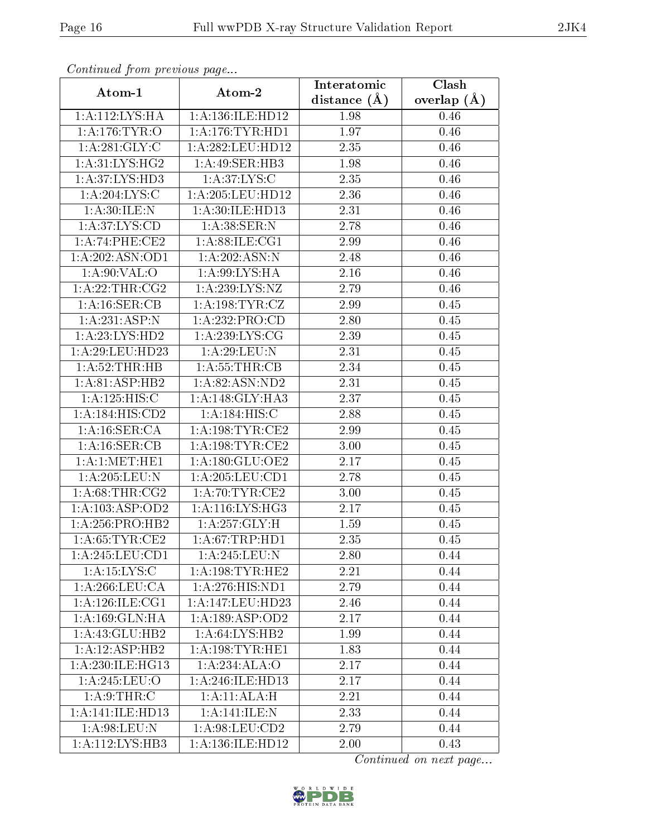| Continuati pont previous page    |                     | Interatomic       | $\overline{\text{Clash}}$ |  |
|----------------------------------|---------------------|-------------------|---------------------------|--|
| Atom-1                           | Atom-2              | distance $(A)$    | overlap $(\AA)$           |  |
| 1:A:112:LYS:HA                   | 1:A:136:ILE:HD12    | 1.98<br>0.46      |                           |  |
| 1:A:176:TYR:O                    | 1:A:176:TYR:HDI     | 1.97              | 0.46                      |  |
| 1: A:281: GLY: C                 | 1: A:282:LEU:HD12   | 2.35              | 0.46                      |  |
| 1: A:31: LYS: HG2                | 1:A:49:SER:HB3      | 1.98              | 0.46                      |  |
| 1:A:37:LYS:HD3                   | 1: A:37: LYS:C      | 2.35              | 0.46                      |  |
| $1:A:204:\text{LYS}\overline{C}$ | 1:A:205:LEU:HD12    | 2.36              | 0.46                      |  |
| 1: A:30: ILE:N                   | 1:A:30:ILE:HD13     | 2.31              | 0.46                      |  |
| 1: A:37: LYS:CD                  | 1:A:38:SER:N        | 2.78              | 0.46                      |  |
| 1:A:74:PHE:CE2                   | 1: A:88: ILE: CG1   | 2.99              | 0.46                      |  |
| 1: A:202: ASN:OD1                | 1: A:202: ASN: N    | 2.48              | 0.46                      |  |
| 1: A:90: VAL:O                   | 1: A:99: LYS: HA    | 2.16              | 0.46                      |  |
| 1:A:22:THR:CG2                   | 1:A:239:LYS:NZ      | 2.79              | 0.46                      |  |
| 1: A:16: SER:CB                  | 1: A: 198: TYR: CZ  | 2.99              | 0.45                      |  |
| 1:A:231:ASP:N                    | 1:A:232:PRO:CD      | 2.80              | 0.45                      |  |
| 1: A: 23: LYS: HD2               | 1: A:239: LYS: CG   | 2.39              | 0.45                      |  |
| 1: A:29:LEU:HD23                 | 1: A:29: LEU: N     | 2.31              | 0.45                      |  |
| 1: A:52:THR:HB                   | 1: A: 55: THR: CB   | 2.34              | 0.45                      |  |
| 1:A:81:ASP:HB2                   | 1:A:82:ASN:ND2      | 2.31              | 0.45                      |  |
| 1: A: 125: HIS:C                 | 1:A:148:GLY:HA3     | $\overline{2.37}$ | 0.45                      |  |
| 1: A: 184: HIS: CD2              | 1:A:184:HIS:C       | 2.88              | 0.45                      |  |
| 1:A:16:SER:CA                    | 1: A:198:TYR:CE2    | 2.99              | 0.45                      |  |
| 1: A:16: SER:CB                  | 1: A:198:TYR:CE2    | 3.00              | 0.45                      |  |
| 1:A:1:MET:HE1                    | 1:A:180:GLU:OE2     | 2.17<br>0.45      |                           |  |
| 1:A:205:LEU:N                    | 1: A:205:LEU:CD1    | 2.78              | 0.45                      |  |
| 1: A:68:THR:CG2                  | 1: A:70:TYR:CE2     | 3.00              | 0.45                      |  |
| 1:A:103:ASP:OD2                  | 1: A:116: LYS: HG3  | 2.17              | 0.45                      |  |
| $1:A:256:PRO:H\overline{B2}$     | 1: A:257: GLY: H    | 1.59              | 0.45                      |  |
| 1: A:65:TYR:CE2                  | 1: A:67:TRP:HDI     | 2.35              | 0.45                      |  |
| $1: A:245: LEU: \overline{CD1}$  | 1:A:245:LEU:N       | 2.80              | 0.44                      |  |
| 1:A:15:LYS:C                     | 1: A:198: TYR: HE2  | 2.21              | 0.44                      |  |
| 1:A:266:LEU:CA                   | 1: A:276: HIS: ND1  | 2.79              | 0.44                      |  |
| 1: A:126: ILE: CG1               | 1:A:147:LEU:HD23    | 2.46              | 0.44                      |  |
| 1:A:169:GLN:HA                   | 1: A: 189: ASP: OD2 | 2.17              | 0.44                      |  |
| 1:A:43:GLU:HB2                   | 1:A:64:LYS:HB2      | 1.99              | 0.44                      |  |
| 1:A:12:ASP:HB2                   | 1: A:198:TYR:HE1    | 1.83              | 0.44                      |  |
| 1:A:230:ILE:HG13                 | 1:A:234:ALA:O       | 2.17              | 0.44                      |  |
| 1:A:245:LEU:O                    | 1: A:246: ILE: HD13 | 2.17              | 0.44                      |  |
| 1: A:9:THR:C                     | 1:A:11:ALA:H        | 2.21              | 0.44                      |  |
| 1:A:141:ILE:HD13                 | 1: A:141: ILE:N     | 2.33              | 0.44                      |  |
| 1:A:98:LEU:N                     | 1:A:98:LEU:CD2      | 2.79              | 0.44                      |  |
| 1:A:112:LYS:HB3                  | 1:A:136:ILE:HD12    | 2.00              | 0.43                      |  |

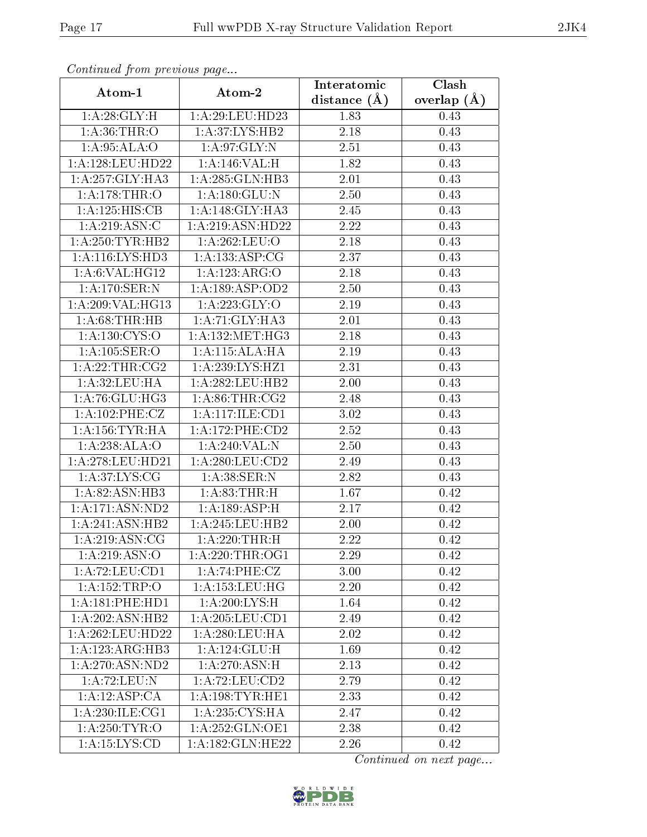| Communa from previous page    |                            | Interatomic      | Clash         |  |
|-------------------------------|----------------------------|------------------|---------------|--|
| Atom-1                        | Atom-2                     | distance $(\AA)$ | overlap $(A)$ |  |
| 1: A:28: GLY: H               | 1:A:29:LEU:HD23            | 1.83<br>0.43     |               |  |
| 1: A:36:THR:O                 | 1: A:37: LYS: HB2          | 2.18             | 0.43          |  |
| 1: A:95: ALA:O                | 1: A:97: GLY:N             | 2.51             | 0.43          |  |
| 1: A:128:LEU:HD22             | 1:A:146:VAL:H              | 1.82             | 0.43          |  |
| 1: A:257: GLY:HA3             | 1: A:285: GLN:HB3          | 2.01             | 0.43          |  |
| 1:A:178:THR:O                 | 1: A: 180: GLU: N          | 2.50             | 0.43          |  |
| 1:A:125:HIS:CB                | 1:A:148:GLY:HA3            | 2.45             | 0.43          |  |
| 1: A:219: ASN:C               | 1:A:219:ASN:HD22           | 2.22             | 0.43          |  |
| 1:A:250:TYR:HB2               | 1:A:262:LEU:O              | 2.18             | 0.43          |  |
| 1:A:116:LYS:HD3               | 1: A: 133: ASP: CG         | 2.37             | 0.43          |  |
| 1:A:6:VAL:HG12                | 1:A:123:ARG:O              | 2.18             | 0.43          |  |
| 1:A:170:SER:N                 | 1:A:189:ASP:OD2            | 2.50             | 0.43          |  |
| $1:$ A:209:VAL:HG13           | 1: A:223: GLY:O            | 2.19             | 0.43          |  |
| 1: A:68:THR:HB                | 1:A:71:GLY:HA3             | 2.01             | 0.43          |  |
| $1:A:130:C\overline{YS:O}$    | 1: A: 132:MET:HG3          | 2.18<br>0.43     |               |  |
| 1: A: 105: SER: O             | 1:A:115:ALA:HA             | 2.19             | 0.43          |  |
| 1:A:22:THR:CG2                | 1: A:239: LYS: HZ1         | 2.31             | 0.43          |  |
| 1: A:32:LEU:HA                | 1:A:282:LEU:HB2            | 2.00             | 0.43          |  |
| 1: A:76: GLU:HG3              | 1: A:86:THR:CG2            | 2.48             | 0.43          |  |
| 1:A:102:PHE:CZ                | 1:A:117:ILE:CD1            | 3.02             | 0.43          |  |
| 1: A: 156: TYR: HA            | 1: A:172:PHE:CD2           | 2.52             | 0.43          |  |
| 1:A:238:ALA:O                 | 1:A:240:VAL:N              | 2.50<br>0.43     |               |  |
| 1: A:278:LEU:HD21             | 1: A:280:LEU:CD2           | 2.49<br>0.43     |               |  |
| 1: A:37: LYS: CG              | 1:A:38:SER:N               | 2.82<br>0.43     |               |  |
| 1:A:82:ASN:HB3                | 1: A:83:THR:H              | 1.67             | 0.42          |  |
| 1: A: 171: ASN: ND2           | $1:A:189:AS\overline{P:H}$ | 2.17             | 0.42          |  |
| 1:A:241:ASN:HB2               | 1:A:245:LEU:HB2            | 2.00             | 0.42          |  |
| $1: A: \overline{219:ASN:CG}$ | 1:A:220:THR:H              | 2.22             | 0.42          |  |
| 1:A:219:ASN:O                 | 1: A:220:THR:OG1           | 2.29             | 0.42          |  |
| 1: A:72: LEU:CD1              | 1:A:74:PHE:CZ              | 3.00             | 0.42          |  |
| 1:A:152:TRP:O                 | 1: A: 153: LEU: HG         | 2.20             | 0.42          |  |
| 1: A:181: PHE: HD1            | 1: A:200:LYS:H             | 1.64             | 0.42          |  |
| 1:A:202:ASN:HB2               | 1: A:205:LEU:CD1           | 2.49             | 0.42          |  |
| 1: A:262:LEU:HD22             | 1:A:280:LEU:HA             | 2.02             | 0.42          |  |
| 1:A:123:ARG:HB3               | 1:A:124:GLU:H              | 1.69             | 0.42          |  |
| 1: A:270: ASN:ND2             | 1: A:270: ASN:H            | 2.13             | 0.42          |  |
| 1:A:72:LEU:N                  | 1:A:72:LEU:CD2             | 2.79             | 0.42          |  |
| 1:A:12:ASP:CA                 | 1:A:198:TYR:HE1            | 2.33             | 0.42          |  |
| 1: A:230: ILE:CG1             | 1: A:235: CYS:HA           | 2.47             | 0.42          |  |
| 1: A:250: TYR:O               | 1: A:252: GLN:OE1          | 2.38             | 0.42          |  |
| 1:A:15:LYS:CD                 | 1: A: 182: GLN: HE22       | 2.26             | 0.42          |  |

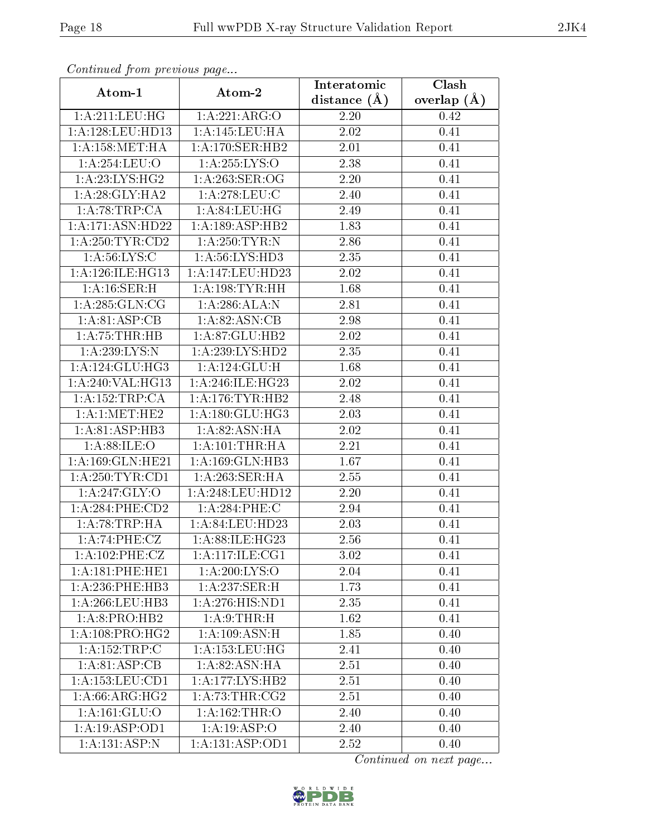| Continuatu jibin previous puge |                     | Interatomic      | Clash         |  |
|--------------------------------|---------------------|------------------|---------------|--|
| Atom-1                         | Atom-2              | distance $(\AA)$ | overlap $(A)$ |  |
| 1:A:211:LEU:HG                 | 1:A:221:ARG:O       | 2.20             | 0.42          |  |
| 1:A:128:LEU:HD13               | 1:A:145:LEU:HA      | 2.02             | 0.41          |  |
| 1: A: 158: MET: HA             | 1: A:170: SER:HB2   | $2.01\,$         | 0.41          |  |
| 1:A:254:LEU:O                  | 1: A: 255: LYS: O   | 2.38             | 0.41          |  |
| 1: A:23: LYS: HG2              | $1: A:263:$ SER:OG  | $2.20\,$         | 0.41          |  |
| 1: A:28: GLY:HA2               | 1:A:278:LEU:C       | 2.40             | 0.41          |  |
| 1:A:78:TRP:CA                  | 1: A:84:LEU:HG      | 2.49             | 0.41          |  |
| 1:A:171:ASN:HD22               | 1:A:189:ASP:HB2     | 1.83             | 0.41          |  |
| 1: A:250:TYR:CD2               | 1: A:250:TYR:N      | 2.86             | 0.41          |  |
| 1: A:56: LYS:C                 | 1: A:56: LYS: HD3   | 2.35             | 0.41          |  |
| 1: A:126: ILE: HG13            | 1:A:147:LEU:HD23    | 2.02             | 0.41          |  |
| 1:A:16:SER:H                   | 1: A: 198: TYR: HH  | 1.68             | 0.41          |  |
| 1: A:285: GLN:CG               | 1:A:286:ALA:N       | 2.81             | 0.41          |  |
| 1: A:81:ASP:CB                 | 1: A:82: ASN: CB    | 2.98             | 0.41          |  |
| 1: A: 75: THR: HB              | 1:A:87:GLU:HB2      | 2.02             | 0.41          |  |
| 1: A:239:LYS:N                 | 1:A:239:LYS:HD2     | 2.35             | 0.41          |  |
| 1:A:124:GLU:HG3                | 1:A:124:GLU:H       | 1.68             | 0.41          |  |
| 1:A:240:VAL:HG13               | 1:A:246:ILE:HG23    | 2.02             | 0.41          |  |
| 1:A:152:TRP:CA                 | 1: A:176:TYR:HB2    | 2.48             | 0.41          |  |
| 1: A:1: MET:HE2                | 1: A: 180: GLU: HG3 | 2.03             | 0.41          |  |
| 1: A:81:ASP:HB3                | 1:A:82:ASN:HA       | 2.02             | 0.41          |  |
| 1: A:88: ILE: O                | 1: A: 101:THR:HA    | 2.21             | 0.41          |  |
| 1:A:169:GLN:HE21               | 1:A:169:GLN:HB3     | 1.67<br>0.41     |               |  |
| 1: A:250:TYR:CD1               | 1:A:263:SER:HA      | 2.55             | 0.41          |  |
| 1:A:247:GLY:O                  | 1:A:248:LEU:HD12    | 2.20             | 0.41          |  |
| $1:A:284:PHE:\overline{CD2}$   | 1: A:284:PHE:C      | 2.94             | 0.41          |  |
| 1:A:78:TRP:HA                  | 1:A:84:LEU:HD23     | 2.03             | 0.41          |  |
| 1:A:74:PHE:CZ                  | 1:A:88:ILE:HG23     | 2.56             | 0.41          |  |
| 1: A:102:PHE:CZ                | 1: A:117: ILE:CG1   | 3.02             | 0.41          |  |
| 1:A:181:PHE:HE1                | 1: A:200: LYS:O     | 2.04             | 0.41          |  |
| $1: A:236:$ PHE:HB3            | 1:A:237:SER:H       | 1.73             | 0.41          |  |
| 1:A:266:LEU:HB3                | 1:A:276:HIS:ND1     | 2.35             | 0.41          |  |
| 1:A:8:PRO:HB2                  | 1: A:9:THR:H        | 1.62             | 0.41          |  |
| 1:A:108:PRO:HG2                | 1: A:109: ASN:H     | 1.85             | 0.40          |  |
| 1:A:152:TRP:C                  | 1: A: 153: LEU: HG  | 2.41             | 0.40          |  |
| 1:A:81:ASP:CB                  | 1: A:82: ASN: HA    | 2.51             | 0.40          |  |
| 1: A: 153: LEU: CD1            | 1:A:177:LYS:HB2     | 2.51             | 0.40          |  |
| 1: A:66: ARG: HG2              | 1: A:73:THR:CG2     | 2.51             | 0.40          |  |
| 1:A:161:GLU:O                  | 1: A: 162: THR:O    | 2.40             | 0.40          |  |
| 1:A:19:ASP:OD1                 | 1:A:19:ASP:O        | 2.40             | 0.40          |  |
| 1:A:131:ASP:N                  | 1:A:131:ASP:OD1     | 2.52             | 0.40          |  |

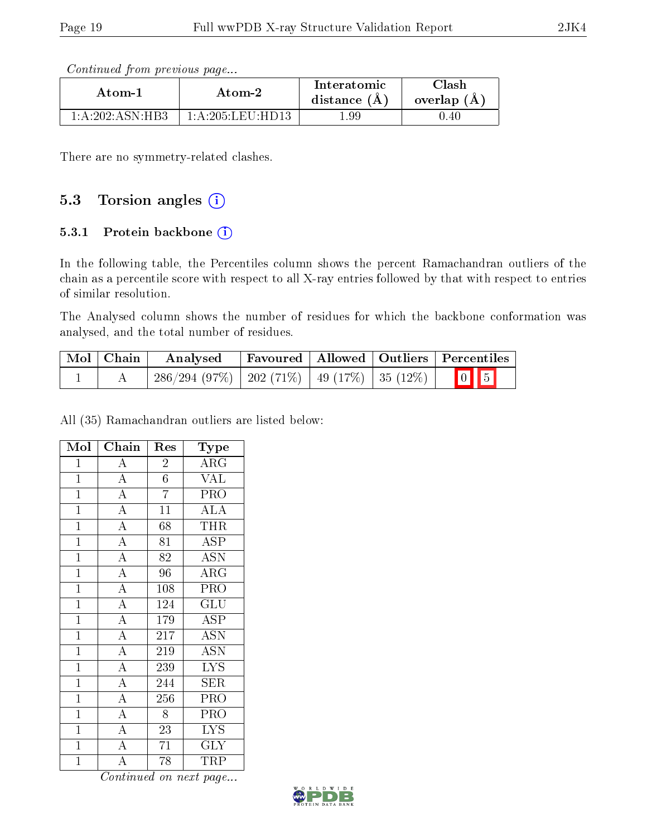Continued from previous page...

| Atom-1            | Atom-2           | Interatomic<br>distance $(A)$ | Clash<br>overlap $(A)$ |
|-------------------|------------------|-------------------------------|------------------------|
| 1: A:202: ASN:HR3 | 1:A:205:LEU:HD13 | .99                           | 0.40                   |

There are no symmetry-related clashes.

### 5.3 Torsion angles (i)

#### 5.3.1 Protein backbone  $(i)$

In the following table, the Percentiles column shows the percent Ramachandran outliers of the chain as a percentile score with respect to all X-ray entries followed by that with respect to entries of similar resolution.

The Analysed column shows the number of residues for which the backbone conformation was analysed, and the total number of residues.

| $\mid$ Mol $\mid$ Chain $\mid$ | Analysed                                             |  | Favoured   Allowed   Outliers   Percentiles |
|--------------------------------|------------------------------------------------------|--|---------------------------------------------|
|                                | $286/294(97\%)$   202 (71\%)   49 (17\%)   35 (12\%) |  | $\boxed{0}$ $\boxed{5}$                     |

All (35) Ramachandran outliers are listed below:

| Mol            | Chain              | Res             | Type                      |
|----------------|--------------------|-----------------|---------------------------|
| $\mathbf{1}$   | $\overline{A}$     | $\overline{2}$  | $\overline{\text{ARG}}$   |
| $\overline{1}$ | $\overline{A}$     | $\overline{6}$  | $\overline{\text{VAL}}$   |
| $\overline{1}$ | $\overline{A}$     | $\overline{7}$  | $\overline{\text{PRO}}$   |
| $\overline{1}$ | $\overline{A}$     | $\overline{11}$ | <b>ALA</b>                |
| $\mathbf{1}$   | $\overline{A}$     | 68              | <b>THR</b>                |
| $\overline{1}$ | $\overline{A}$     | 81              | $\overline{\rm ASP}$      |
| $\overline{1}$ | $\overline{A}$     | 82              | <b>ASN</b>                |
| $\overline{1}$ | $\overline{A}$     | $\overline{96}$ | $\overline{\text{ARG}}$   |
| $\mathbf{1}$   | $\overline{A}$     | 108             | PRO                       |
| $\overline{1}$ | $\overline{A}$     | 124             | $\overline{\mathrm{GLU}}$ |
| $\overline{1}$ | $\overline{A}$     | 179             | $\overline{\text{ASP}}$   |
| $\mathbf{1}$   | $\overline{A}$     | 217             | <b>ASN</b>                |
| $\overline{1}$ | $\overline{A}$     | 219             | $\overline{\mathrm{ASN}}$ |
| $\mathbf{1}$   | $\overline{A}$     | 239             | $\overline{\text{LYS}}$   |
| $\overline{1}$ | $\overline{A}$     | 244             | $\overline{\text{SER}}$   |
| $\mathbf{1}$   | $\overline{A}$     | 256             | PRO                       |
| $\overline{1}$ | $\overline{A}$     | 8               | PRO                       |
| $\mathbf{1}$   | $\overline{A}$     | $\overline{23}$ | $\overline{\text{LYS}}$   |
| $\mathbf{1}$   | $\overline{A}$     | 71              | <b>GLY</b>                |
| $\overline{1}$ | $\overline{\rm A}$ | 78              | TRP                       |

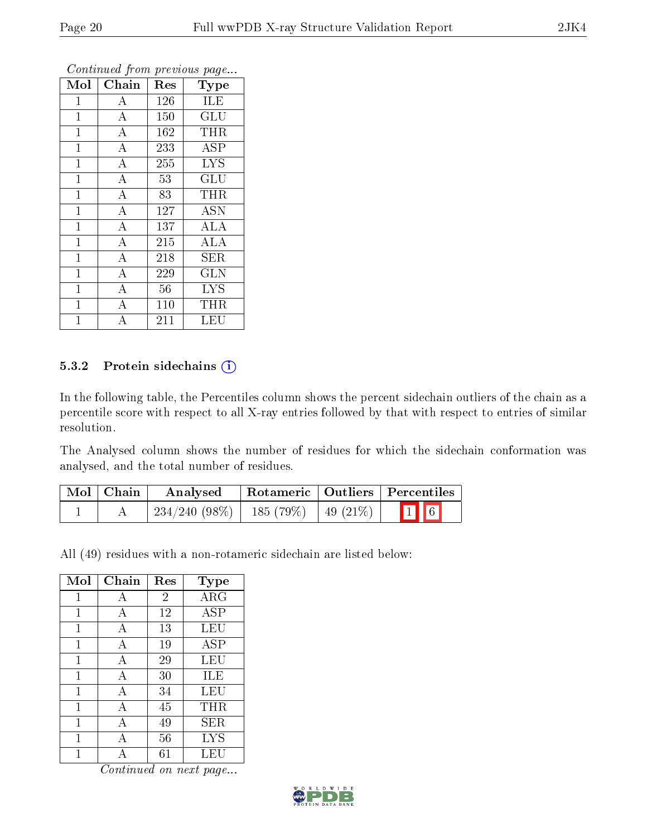| Mol          | Chain              | Res | <b>Type</b>                    |
|--------------|--------------------|-----|--------------------------------|
| $\mathbf{1}$ | $\boldsymbol{A}$   | 126 | ILE                            |
| $\mathbf 1$  | $\bf{A}$           | 150 | <b>GLU</b>                     |
| $\mathbf{1}$ | $\overline{\rm A}$ | 162 | <b>THR</b>                     |
| $\mathbf{1}$ | $\bf{A}$           | 233 | <b>ASP</b>                     |
| $\mathbf{1}$ | $\overline{\rm A}$ | 255 | <b>LYS</b>                     |
| $\mathbf{1}$ | $\bf{A}$           | 53  | $\mathrm{GL} \bar{\mathrm{U}}$ |
| $\mathbf{1}$ | $\bf{A}$           | 83  | <b>THR</b>                     |
| $\mathbf 1$  | $\overline{A}$     | 127 | <b>ASN</b>                     |
| $\mathbf{1}$ | $\bf{A}$           | 137 | <b>ALA</b>                     |
| $\mathbf 1$  | $\overline{\rm A}$ | 215 | <b>ALA</b>                     |
| $\mathbf{1}$ | $\overline{A}$     | 218 | SER                            |
| $\mathbf 1$  | $\overline{\rm A}$ | 229 | <b>GLN</b>                     |
| $\mathbf 1$  | $\boldsymbol{A}$   | 56  | <b>LYS</b>                     |
| $\mathbf{1}$ | $\bf{A}$           | 110 | THR                            |
| 1            | А                  | 211 | LEU                            |

#### 5.3.2 Protein sidechains (i)

In the following table, the Percentiles column shows the percent sidechain outliers of the chain as a percentile score with respect to all X-ray entries followed by that with respect to entries of similar resolution.

The Analysed column shows the number of residues for which the sidechain conformation was analysed, and the total number of residues.

| Mol   Chain | Analysed        |                      | Rotameric   Outliers   Percentiles |
|-------------|-----------------|----------------------|------------------------------------|
|             | $234/240(98\%)$ | 185 (79%)   49 (21%) | $\boxed{1}$ 6                      |

All (49) residues with a non-rotameric sidechain are listed below:

| Mol | Chain          | Res            | Type       |
|-----|----------------|----------------|------------|
| 1   | А              | $\overline{2}$ | ARG        |
| 1   | А              | 12             | <b>ASP</b> |
| 1   | А              | 13             | LEU        |
| 1   | А              | 19             | <b>ASP</b> |
| 1   | $\overline{A}$ | 29             | LEU        |
| 1   | A              | 30             | ILE        |
| 1   | А              | 34             | LEU        |
| 1   | А              | 45             | THR        |
| 1   | А              | 49             | SER        |
| 1   | A              | 56             | <b>LYS</b> |
|     |                | 61             | LEU        |

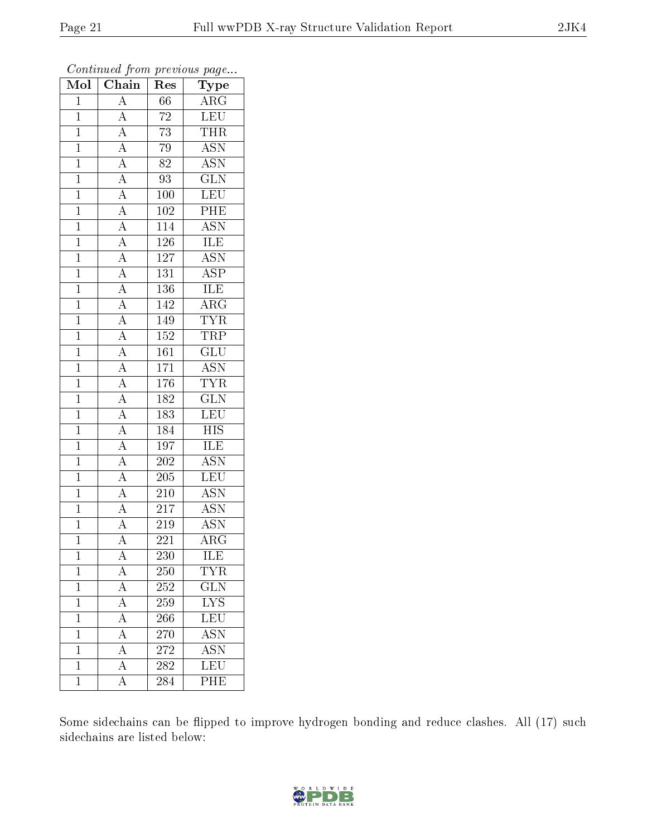| Mol            | $\overline{\text{Chain}}$                                                                                   | Res              | Type                      |
|----------------|-------------------------------------------------------------------------------------------------------------|------------------|---------------------------|
| $\mathbf{1}$   | $\overline{A}$                                                                                              | 66               | $\rm{ARG}$                |
| $\overline{1}$ | $\overline{A}$                                                                                              | $72\,$           | LEU                       |
| $\mathbf{1}$   | $\overline{A}$                                                                                              | 73               | <b>THR</b>                |
| $\overline{1}$ | $\overline{A}$                                                                                              | 79               | $\overline{\rm ASN}$      |
| $\overline{1}$ |                                                                                                             | $\overline{82}$  | <b>ASN</b>                |
| $\mathbf{1}$   | $\frac{\overline{A}}{\overline{A}}$                                                                         | 93               | $\overline{\text{GLN}}$   |
| $\mathbf{1}$   |                                                                                                             | 100              | LEU                       |
| $\mathbf{1}$   |                                                                                                             | 102              | PHE                       |
| $\overline{1}$ | $\frac{\overline{A}}{\overline{A}}$ $\frac{\overline{A}}{\overline{A}}$ $\frac{\overline{A}}{\overline{A}}$ | 114              | <b>ASN</b>                |
| $\overline{1}$ |                                                                                                             | <b>126</b>       | <b>ILE</b>                |
| $\mathbf{1}$   |                                                                                                             | $127\,$          | $\overline{\mathrm{ASN}}$ |
| $\mathbf{1}$   |                                                                                                             | 131              | $\overline{\text{ASP}}$   |
| $\overline{1}$ | $\frac{\overline{A}}{\overline{A}}$ $\frac{\overline{A}}{\overline{A}}$                                     | 136              | <b>ILE</b>                |
| $\overline{1}$ |                                                                                                             | 142              | $\overline{\text{ARG}}$   |
| $\overline{1}$ |                                                                                                             | 149              | <b>TYR</b>                |
| $\mathbf{1}$   |                                                                                                             | 152              | $\overline{\text{TRP}}$   |
| $\overline{1}$ |                                                                                                             | $\overline{161}$ | $\overline{\text{GLU}}$   |
| $\mathbf{1}$   | $\frac{1}{\overline{A}}$                                                                                    | $\overline{1}71$ | $\overline{ASN}$          |
| $\overline{1}$ | $\overline{A}$                                                                                              | 176              | <b>TYR</b>                |
| $\overline{1}$ | $\overline{A}$                                                                                              | 182              | $\overline{\text{GLN}}$   |
| $\overline{1}$ | $\overline{A}$                                                                                              | 183              | LEU                       |
| $\overline{1}$ | $\frac{\overline{A}}{\overline{A}}$                                                                         | 184              | <b>HIS</b>                |
| $\overline{1}$ |                                                                                                             | 197              | $\overline{\text{ILE}}$   |
| $\overline{1}$ | $\overline{A}$                                                                                              | 202              | $\overline{\mathrm{ASN}}$ |
| $\mathbf{1}$   | $\overline{A}$                                                                                              | $205\,$          | <b>LEU</b>                |
| $\mathbf{1}$   | $\overline{A}$                                                                                              | 210              | $\overline{\text{ASN}}$   |
| $\overline{1}$ | $\frac{\overline{A}}{\overline{A}}$                                                                         | $\overline{217}$ | $\overline{\text{ASN}}$   |
| $\overline{1}$ |                                                                                                             | 219              | <b>ASN</b>                |
| $\overline{1}$ | $\overline{\rm A}$                                                                                          | $\overline{221}$ | $\overline{\rm{ARG}}$     |
| $\mathbf 1$    | Α                                                                                                           | 230              | ILE                       |
| $\mathbf{1}$   | $\overline{A}$                                                                                              | 250              | <b>TYR</b>                |
| $\mathbf{1}$   | $\overline{A}$                                                                                              | 252              | $\overline{\text{GLN}}$   |
| $\mathbf 1$    | $\overline{A}$                                                                                              | 259              | $\overline{\text{LYS}}$   |
| $\overline{1}$ | $\overline{A}$                                                                                              | 266              | $\overline{\text{LEU}}$   |
| $\mathbf 1$    | $\overline{A}$                                                                                              | 270              | <b>ASN</b>                |
| $\mathbf{1}$   | $\overline{\rm A}$                                                                                          | 272              | $\overline{\mathrm{ASN}}$ |
| $\mathbf 1$    | $\overline{\rm A}$                                                                                          | 282              | <b>LEU</b>                |
| ī              | $\overline{\rm A}$                                                                                          | 284              | PHE                       |

Some sidechains can be flipped to improve hydrogen bonding and reduce clashes. All (17) such sidechains are listed below:

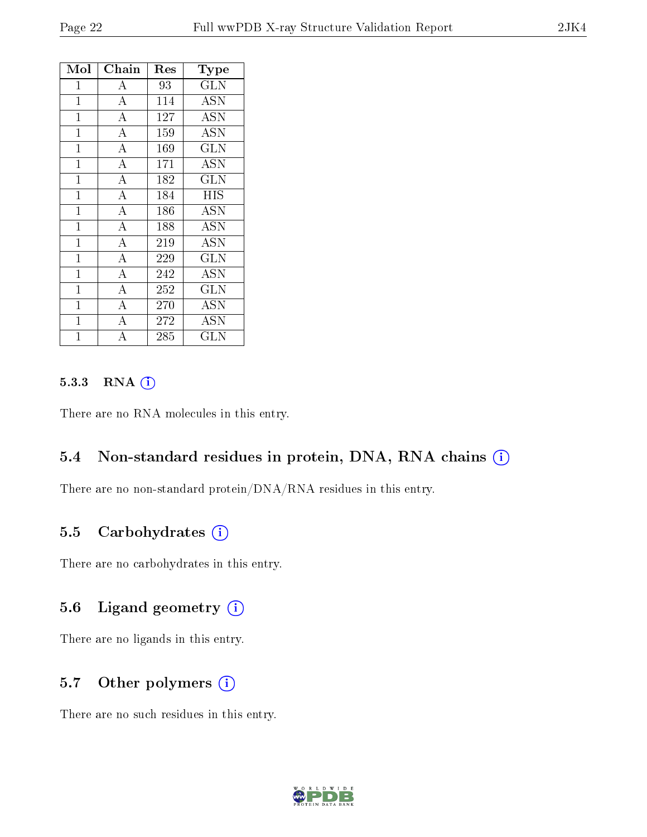| Mol            | Chain              | Res | Type         |
|----------------|--------------------|-----|--------------|
| 1              | $\boldsymbol{A}$   | 93  | <b>GLN</b>   |
| $\mathbf 1$    | $\overline{\rm A}$ | 114 | <b>ASN</b>   |
| $\mathbf{1}$   | $\overline{\rm A}$ | 127 | <b>ASN</b>   |
| $\mathbf{1}$   | $\overline{\rm A}$ | 159 | <b>ASN</b>   |
| $\mathbf{1}$   | $\overline{\rm A}$ | 169 | GLN          |
| $\mathbf{1}$   | $\overline{A}$     | 171 | ASN          |
| $\mathbf 1$    | $\overline{\rm A}$ | 182 | <b>GLN</b>   |
| $\mathbf{1}$   | $\overline{\rm A}$ | 184 | <b>HIS</b>   |
| $\mathbf{1}$   | $\overline{A}$     | 186 | <b>ASN</b>   |
| $\mathbf{1}$   | $\overline{\rm A}$ | 188 | <b>ASN</b>   |
| $\overline{1}$ | $\overline{A}$     | 219 | <b>ASN</b>   |
| $\mathbf{1}$   | $\overline{\rm A}$ | 229 | <b>GLN</b>   |
| $\mathbf{1}$   | $\overline{\rm A}$ | 242 | ASN          |
| $\mathbf{1}$   | $\overline{A}$     | 252 | GLN          |
| $\mathbf 1$    | $\overline{\rm A}$ | 270 | <b>ASN</b>   |
| $\mathbf{1}$   | $\overline{\rm A}$ | 272 | ASN          |
| $\overline{1}$ | A                  | 285 | $_{\rm GLN}$ |

#### 5.3.3 RNA (i)

There are no RNA molecules in this entry.

#### 5.4 Non-standard residues in protein, DNA, RNA chains (i)

There are no non-standard protein/DNA/RNA residues in this entry.

#### 5.5 Carbohydrates  $(i)$

There are no carbohydrates in this entry.

#### 5.6 Ligand geometry  $(i)$

There are no ligands in this entry.

#### 5.7 [O](https://www.wwpdb.org/validation/2017/XrayValidationReportHelp#nonstandard_residues_and_ligands)ther polymers (i)

There are no such residues in this entry.

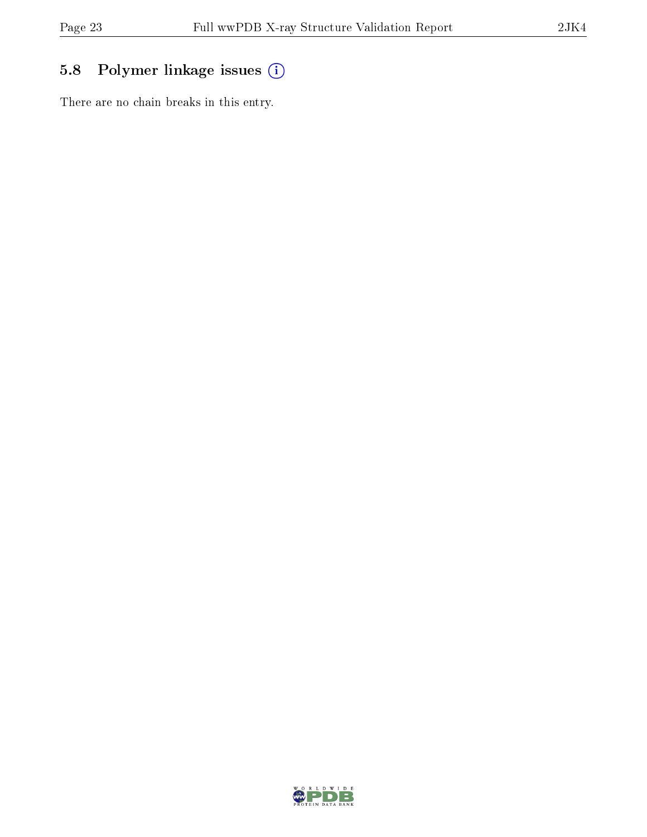## 5.8 Polymer linkage issues (i)

There are no chain breaks in this entry.